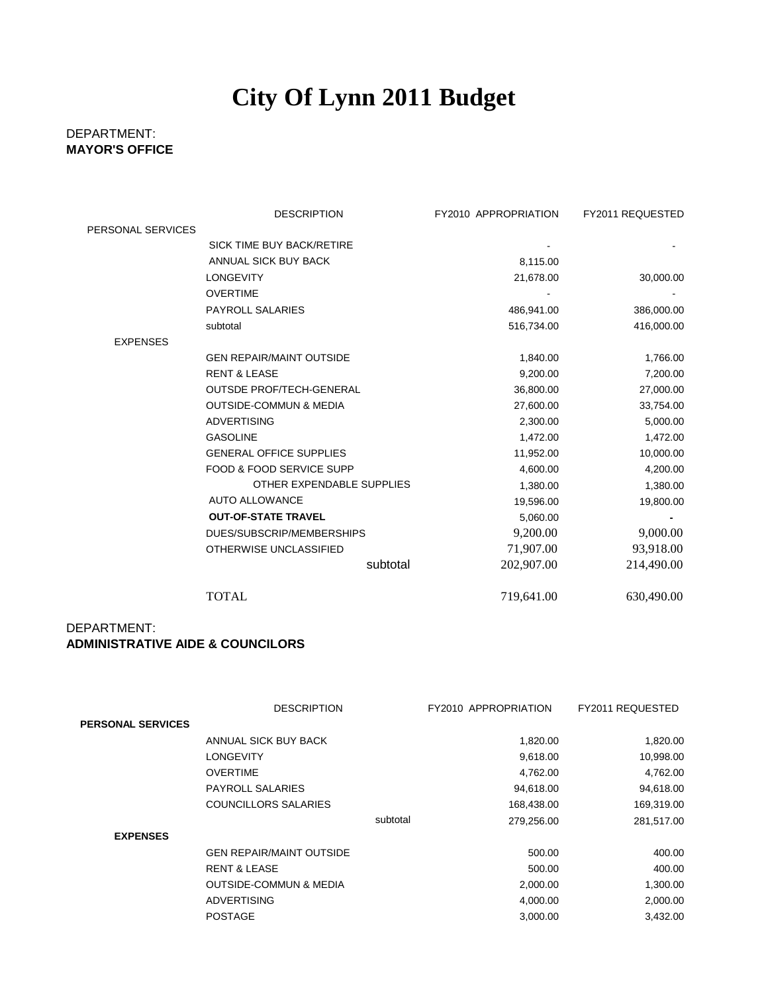# **City Of Lynn 2011 Budget**

#### DEPARTMENT: **MAYOR'S OFFICE**

|                   | <b>DESCRIPTION</b>                | <b>FY2010 APPROPRIATION</b> | FY2011 REQUESTED |
|-------------------|-----------------------------------|-----------------------------|------------------|
| PERSONAL SERVICES |                                   |                             |                  |
|                   | SICK TIME BUY BACK/RETIRE         |                             |                  |
|                   | ANNUAL SICK BUY BACK              | 8,115.00                    |                  |
|                   | <b>LONGEVITY</b>                  | 21,678.00                   | 30,000.00        |
|                   | <b>OVERTIME</b>                   |                             |                  |
|                   | PAYROLL SALARIES                  | 486,941.00                  | 386,000.00       |
|                   | subtotal                          | 516,734.00                  | 416,000.00       |
| <b>EXPENSES</b>   |                                   |                             |                  |
|                   | <b>GEN REPAIR/MAINT OUTSIDE</b>   | 1,840.00                    | 1,766.00         |
|                   | <b>RENT &amp; LEASE</b>           | 9,200.00                    | 7,200.00         |
|                   | <b>OUTSDE PROF/TECH-GENERAL</b>   | 36,800.00                   | 27,000.00        |
|                   | <b>OUTSIDE-COMMUN &amp; MEDIA</b> | 27,600.00                   | 33,754.00        |
|                   | <b>ADVERTISING</b>                | 2,300.00                    | 5,000.00         |
|                   | <b>GASOLINE</b>                   | 1,472.00                    | 1,472.00         |
|                   | <b>GENERAL OFFICE SUPPLIES</b>    | 11,952.00                   | 10,000.00        |
|                   | FOOD & FOOD SERVICE SUPP          | 4,600.00                    | 4,200.00         |
|                   | OTHER EXPENDABLE SUPPLIES         | 1,380.00                    | 1,380.00         |
|                   | <b>AUTO ALLOWANCE</b>             | 19,596.00                   | 19,800.00        |
|                   | <b>OUT-OF-STATE TRAVEL</b>        | 5,060.00                    |                  |
|                   | DUES/SUBSCRIP/MEMBERSHIPS         | 9,200.00                    | 9,000.00         |
|                   | OTHERWISE UNCLASSIFIED            | 71,907.00                   | 93,918.00        |
|                   | subtotal                          | 202,907.00                  | 214,490.00       |
|                   | <b>TOTAL</b>                      | 719,641.00                  | 630.490.00       |

#### DEPARTMENT: **ADMINISTRATIVE AIDE & COUNCILORS**

|                          | <b>DESCRIPTION</b>                |          | FY2010 APPROPRIATION | FY2011 REQUESTED |
|--------------------------|-----------------------------------|----------|----------------------|------------------|
| <b>PERSONAL SERVICES</b> |                                   |          |                      |                  |
|                          | ANNUAL SICK BUY BACK              |          | 1,820.00             | 1,820.00         |
|                          | LONGEVITY                         |          | 9,618.00             | 10,998.00        |
|                          | <b>OVERTIME</b>                   |          | 4,762.00             | 4,762.00         |
|                          | <b>PAYROLL SALARIES</b>           |          | 94,618.00            | 94,618.00        |
|                          | <b>COUNCILLORS SALARIES</b>       |          | 168,438.00           | 169,319.00       |
|                          |                                   | subtotal | 279,256.00           | 281,517.00       |
| <b>EXPENSES</b>          |                                   |          |                      |                  |
|                          | <b>GEN REPAIR/MAINT OUTSIDE</b>   |          | 500.00               | 400.00           |
|                          | <b>RENT &amp; LEASE</b>           |          | 500.00               | 400.00           |
|                          | <b>OUTSIDE-COMMUN &amp; MEDIA</b> |          | 2,000.00             | 1,300.00         |
|                          | <b>ADVERTISING</b>                |          | 4,000.00             | 2,000.00         |
|                          | <b>POSTAGE</b>                    |          | 3,000.00             | 3,432.00         |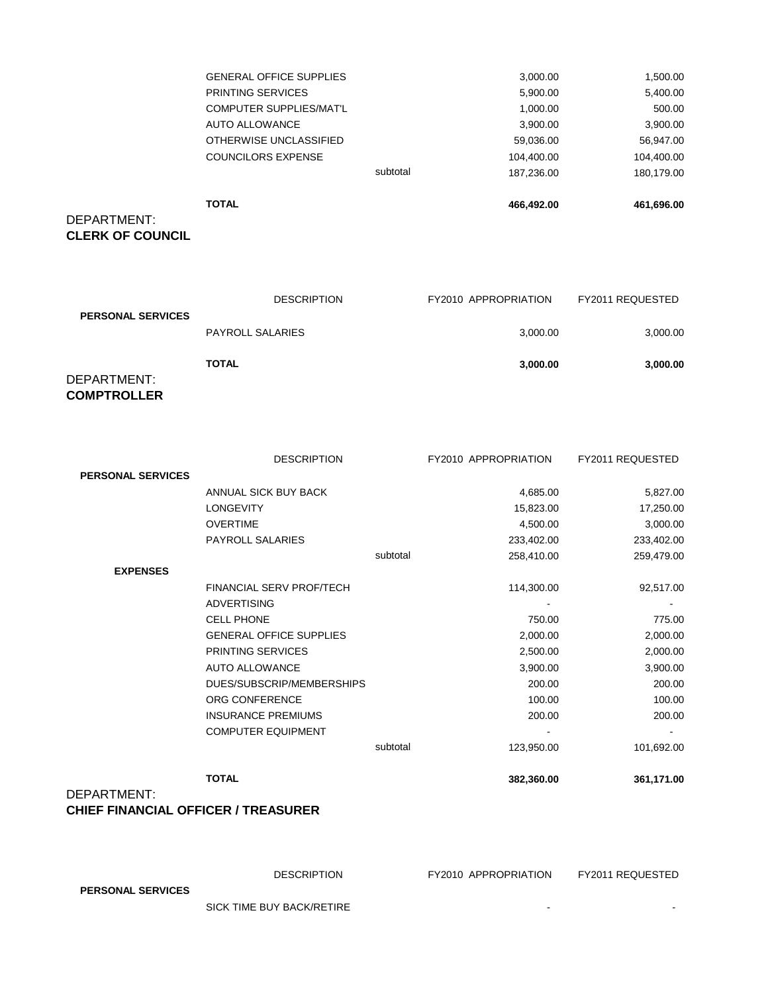| DEPARTMENT:<br><b>CLERK OF COUNCIL</b> |                                |          |            |            |
|----------------------------------------|--------------------------------|----------|------------|------------|
|                                        | <b>TOTAL</b>                   |          | 466,492.00 | 461,696.00 |
|                                        |                                | subtotal | 187,236.00 | 180,179.00 |
|                                        | <b>COUNCILORS EXPENSE</b>      |          | 104.400.00 | 104,400.00 |
|                                        | OTHERWISE UNCLASSIFIED         |          | 59,036.00  | 56,947.00  |
|                                        | AUTO ALLOWANCE                 |          | 3,900.00   | 3,900.00   |
|                                        | COMPUTER SUPPLIES/MAT'L        |          | 1,000.00   | 500.00     |
|                                        | <b>PRINTING SERVICES</b>       |          | 5,900.00   | 5,400.00   |
|                                        | <b>GENERAL OFFICE SUPPLIES</b> |          | 3,000.00   | 1,500.00   |

| DEPARTMENT:<br>----------- |                         |                             |                  |
|----------------------------|-------------------------|-----------------------------|------------------|
|                            | <b>TOTAL</b>            | 3.000.00                    | 3,000.00         |
| <b>PERSONAL SERVICES</b>   | <b>PAYROLL SALARIES</b> | 3,000.00                    | 3,000.00         |
|                            | <b>DESCRIPTION</b>      | <b>FY2010 APPROPRIATION</b> | FY2011 REQUESTED |

**COMPTROLLER**

|                          | <b>DESCRIPTION</b>              |          | <b>FY2010 APPROPRIATION</b> | FY2011 REQUESTED |
|--------------------------|---------------------------------|----------|-----------------------------|------------------|
| <b>PERSONAL SERVICES</b> |                                 |          |                             |                  |
|                          | ANNUAL SICK BUY BACK            |          | 4,685.00                    | 5,827.00         |
|                          | <b>LONGEVITY</b>                |          | 15,823.00                   | 17,250.00        |
|                          | <b>OVERTIME</b>                 |          | 4,500.00                    | 3,000.00         |
|                          | PAYROLL SALARIES                |          | 233,402.00                  | 233,402.00       |
|                          |                                 | subtotal | 258,410.00                  | 259,479.00       |
| <b>EXPENSES</b>          |                                 |          |                             |                  |
|                          | <b>FINANCIAL SERV PROF/TECH</b> |          | 114,300.00                  | 92,517.00        |
|                          | <b>ADVERTISING</b>              |          |                             |                  |
|                          | <b>CELL PHONE</b>               |          | 750.00                      | 775.00           |
|                          | <b>GENERAL OFFICE SUPPLIES</b>  |          | 2,000.00                    | 2,000.00         |
|                          | PRINTING SERVICES               |          | 2,500.00                    | 2,000.00         |
|                          | <b>AUTO ALLOWANCE</b>           |          | 3,900.00                    | 3,900.00         |
|                          | DUES/SUBSCRIP/MEMBERSHIPS       |          | 200.00                      | 200.00           |
|                          | ORG CONFERENCE                  |          | 100.00                      | 100.00           |
|                          | <b>INSURANCE PREMIUMS</b>       |          | 200.00                      | 200.00           |
|                          | <b>COMPUTER EQUIPMENT</b>       |          |                             |                  |
|                          |                                 | subtotal | 123,950.00                  | 101,692.00       |
|                          | <b>TOTAL</b>                    |          | 382,360.00                  | 361,171.00       |
| DEPARTMENT:              |                                 |          |                             |                  |

#### **CHIEF FINANCIAL OFFICER / TREASURER**

|                          | <b>DESCRIPTION</b>        | FY2010 APPROPRIATION     | FY2011 REQUESTED |
|--------------------------|---------------------------|--------------------------|------------------|
| <b>PERSONAL SERVICES</b> |                           |                          |                  |
|                          | SICK TIME BUY BACK/RETIRE | $\overline{\phantom{a}}$ |                  |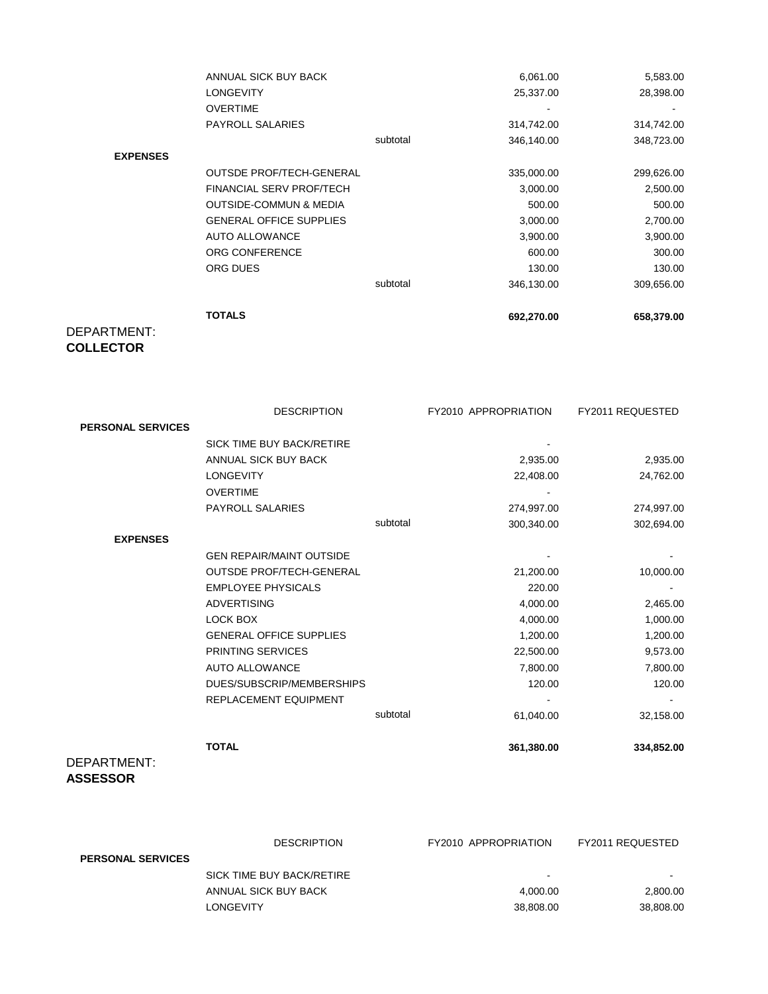|                 | ANNUAL SICK BUY BACK              |          | 6,061.00   | 5,583.00   |
|-----------------|-----------------------------------|----------|------------|------------|
|                 | <b>LONGEVITY</b>                  |          | 25,337.00  | 28,398.00  |
|                 | <b>OVERTIME</b>                   |          |            |            |
|                 | PAYROLL SALARIES                  |          | 314,742.00 | 314,742.00 |
|                 |                                   | subtotal | 346,140.00 | 348,723.00 |
| <b>EXPENSES</b> |                                   |          |            |            |
|                 | <b>OUTSDE PROF/TECH-GENERAL</b>   |          | 335,000.00 | 299,626.00 |
|                 | FINANCIAL SERV PROF/TECH          |          | 3,000.00   | 2,500.00   |
|                 | <b>OUTSIDE-COMMUN &amp; MEDIA</b> |          | 500.00     | 500.00     |
|                 | <b>GENERAL OFFICE SUPPLIES</b>    |          | 3,000.00   | 2,700.00   |
|                 | AUTO ALLOWANCE                    |          | 3,900.00   | 3,900.00   |
|                 | ORG CONFERENCE                    |          | 600.00     | 300.00     |
|                 | ORG DUES                          |          | 130.00     | 130.00     |
|                 |                                   | subtotal | 346,130.00 | 309,656.00 |
|                 | <b>TOTALS</b>                     |          | 692,270.00 | 658,379.00 |
| DEPARTMENT:     |                                   |          |            |            |

#### **COLLECTOR**

|                          | <b>DESCRIPTION</b>               |          | FY2010 APPROPRIATION | FY2011 REQUESTED |
|--------------------------|----------------------------------|----------|----------------------|------------------|
| <b>PERSONAL SERVICES</b> |                                  |          |                      |                  |
|                          | <b>SICK TIME BUY BACK/RETIRE</b> |          |                      |                  |
|                          | ANNUAL SICK BUY BACK             |          | 2,935.00             | 2,935.00         |
|                          | <b>LONGEVITY</b>                 |          | 22,408.00            | 24,762.00        |
|                          | <b>OVERTIME</b>                  |          |                      |                  |
|                          | <b>PAYROLL SALARIES</b>          |          | 274,997.00           | 274,997.00       |
|                          |                                  | subtotal | 300,340.00           | 302,694.00       |
| <b>EXPENSES</b>          |                                  |          |                      |                  |
|                          | <b>GEN REPAIR/MAINT OUTSIDE</b>  |          |                      |                  |
|                          | <b>OUTSDE PROF/TECH-GENERAL</b>  |          | 21,200.00            | 10,000.00        |
|                          | <b>EMPLOYEE PHYSICALS</b>        |          | 220.00               |                  |
|                          | <b>ADVERTISING</b>               |          | 4,000.00             | 2,465.00         |
|                          | <b>LOCK BOX</b>                  |          | 4,000.00             | 1,000.00         |
|                          | <b>GENERAL OFFICE SUPPLIES</b>   |          | 1,200.00             | 1,200.00         |
|                          | PRINTING SERVICES                |          | 22,500.00            | 9,573.00         |
|                          | <b>AUTO ALLOWANCE</b>            |          | 7,800.00             | 7,800.00         |
|                          | DUES/SUBSCRIP/MEMBERSHIPS        |          | 120.00               | 120.00           |
|                          | REPLACEMENT EQUIPMENT            |          |                      |                  |
|                          |                                  | subtotal | 61,040.00            | 32,158.00        |
|                          | <b>TOTAL</b>                     |          | 361,380.00           | 334,852.00       |
| DEPARTMENT:              |                                  |          |                      |                  |

### **ASSESSOR**

| <b>PERSONAL SERVICES</b> | <b>DESCRIPTION</b>        | <b>FY2010 APPROPRIATION</b> | FY2011 REQUESTED |
|--------------------------|---------------------------|-----------------------------|------------------|
|                          | SICK TIME BUY BACK/RETIRE | $\overline{\phantom{a}}$    | $\blacksquare$   |
|                          | ANNUAL SICK BUY BACK      | 4.000.00                    | 2,800.00         |
|                          | <b>LONGEVITY</b>          | 38,808.00                   | 38,808.00        |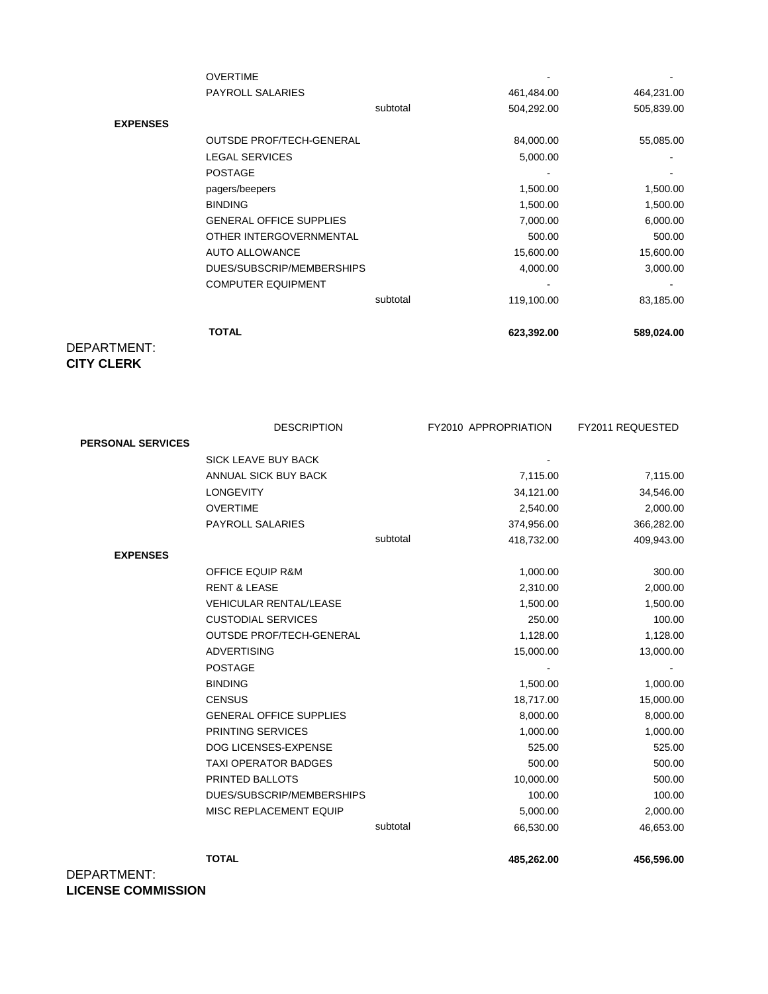|                 | <b>TOTAL</b>                   |          | 623,392.00 | 589,024.00 |
|-----------------|--------------------------------|----------|------------|------------|
|                 |                                | subtotal | 119,100.00 | 83,185.00  |
|                 | <b>COMPUTER EQUIPMENT</b>      |          |            |            |
|                 | DUES/SUBSCRIP/MEMBERSHIPS      |          | 4,000.00   | 3,000.00   |
|                 | <b>AUTO ALLOWANCE</b>          |          | 15,600.00  | 15,600.00  |
|                 | OTHER INTERGOVERNMENTAL        |          | 500.00     | 500.00     |
|                 | <b>GENERAL OFFICE SUPPLIES</b> |          | 7,000.00   | 6,000.00   |
|                 | <b>BINDING</b>                 |          | 1,500.00   | 1,500.00   |
|                 | pagers/beepers                 |          | 1,500.00   | 1,500.00   |
|                 | <b>POSTAGE</b>                 |          |            |            |
|                 | <b>LEGAL SERVICES</b>          |          | 5,000.00   |            |
|                 | OUTSDE PROF/TECH-GENERAL       |          | 84,000.00  | 55,085.00  |
| <b>EXPENSES</b> |                                |          |            |            |
|                 |                                | subtotal | 504,292.00 | 505,839.00 |
|                 | <b>PAYROLL SALARIES</b>        |          | 461,484.00 | 464,231.00 |
|                 | <b>OVERTIME</b>                |          |            |            |

#### DEPARTMENT: **CITY CLERK**

|                          | <b>DESCRIPTION</b>              |          | <b>FY2010 APPROPRIATION</b> | FY2011 REQUESTED |
|--------------------------|---------------------------------|----------|-----------------------------|------------------|
| <b>PERSONAL SERVICES</b> |                                 |          |                             |                  |
|                          | SICK LEAVE BUY BACK             |          |                             |                  |
|                          | ANNUAL SICK BUY BACK            |          | 7,115.00                    | 7,115.00         |
|                          | <b>LONGEVITY</b>                |          | 34,121.00                   | 34,546.00        |
|                          | <b>OVERTIME</b>                 |          | 2,540.00                    | 2,000.00         |
|                          | <b>PAYROLL SALARIES</b>         |          | 374,956.00                  | 366,282.00       |
|                          |                                 | subtotal | 418,732.00                  | 409,943.00       |
| <b>EXPENSES</b>          |                                 |          |                             |                  |
|                          | <b>OFFICE EQUIP R&amp;M</b>     |          | 1,000.00                    | 300.00           |
|                          | <b>RENT &amp; LEASE</b>         |          | 2,310.00                    | 2,000.00         |
|                          | <b>VEHICULAR RENTAL/LEASE</b>   |          | 1,500.00                    | 1,500.00         |
|                          | <b>CUSTODIAL SERVICES</b>       |          | 250.00                      | 100.00           |
|                          | <b>OUTSDE PROF/TECH-GENERAL</b> |          | 1,128.00                    | 1,128.00         |
|                          | <b>ADVERTISING</b>              |          | 15,000.00                   | 13,000.00        |
|                          | <b>POSTAGE</b>                  |          |                             |                  |
|                          | <b>BINDING</b>                  |          | 1,500.00                    | 1,000.00         |
|                          | <b>CENSUS</b>                   |          | 18,717.00                   | 15,000.00        |
|                          | <b>GENERAL OFFICE SUPPLIES</b>  |          | 8,000.00                    | 8,000.00         |
|                          | <b>PRINTING SERVICES</b>        |          | 1,000.00                    | 1,000.00         |
|                          | <b>DOG LICENSES-EXPENSE</b>     |          | 525.00                      | 525.00           |
|                          | <b>TAXI OPERATOR BADGES</b>     |          | 500.00                      | 500.00           |
|                          | PRINTED BALLOTS                 |          | 10,000.00                   | 500.00           |
|                          | DUES/SUBSCRIP/MEMBERSHIPS       |          | 100.00                      | 100.00           |
|                          | MISC REPLACEMENT EQUIP          |          | 5,000.00                    | 2,000.00         |
|                          |                                 | subtotal | 66,530.00                   | 46,653.00        |
|                          | <b>TOTAL</b>                    |          | 485,262.00                  | 456,596.00       |

DEPARTMENT: **LICENSE COMMISSION**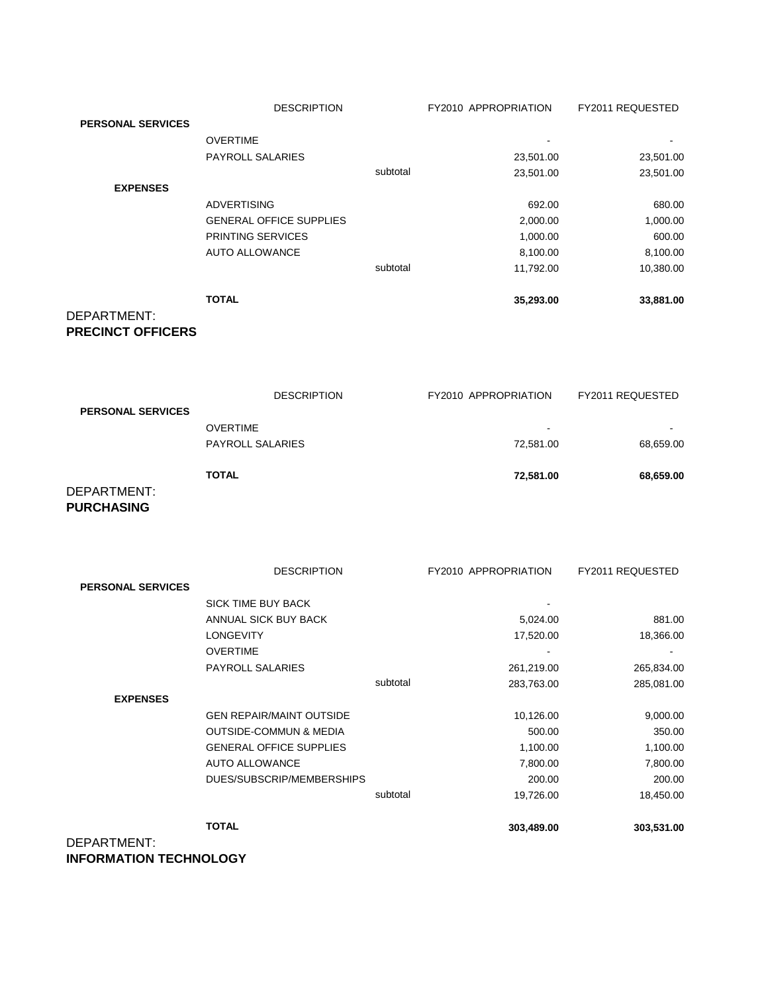|                                         | <b>DESCRIPTION</b>             |          | <b>FY2010 APPROPRIATION</b> | FY2011 REQUESTED |
|-----------------------------------------|--------------------------------|----------|-----------------------------|------------------|
| <b>PERSONAL SERVICES</b>                |                                |          |                             |                  |
|                                         | <b>OVERTIME</b>                |          |                             |                  |
|                                         | <b>PAYROLL SALARIES</b>        |          | 23,501.00                   | 23,501.00        |
|                                         |                                | subtotal | 23,501.00                   | 23,501.00        |
| <b>EXPENSES</b>                         |                                |          |                             |                  |
|                                         | <b>ADVERTISING</b>             |          | 692.00                      | 680.00           |
|                                         | <b>GENERAL OFFICE SUPPLIES</b> |          | 2,000.00                    | 1,000.00         |
|                                         | PRINTING SERVICES              |          | 1,000.00                    | 600.00           |
|                                         | AUTO ALLOWANCE                 |          | 8,100.00                    | 8,100.00         |
|                                         |                                | subtotal | 11,792.00                   | 10,380.00        |
|                                         | <b>TOTAL</b>                   |          | 35,293.00                   | 33,881.00        |
| DEPARTMENT:<br><b>PRECINCT OFFICERS</b> |                                |          |                             |                  |

|                          | <b>DESCRIPTION</b>      | FY2010 APPROPRIATION     | FY2011 REQUESTED         |
|--------------------------|-------------------------|--------------------------|--------------------------|
| <b>PERSONAL SERVICES</b> |                         |                          |                          |
|                          | <b>OVERTIME</b>         | $\overline{\phantom{a}}$ | $\overline{\phantom{0}}$ |
|                          | <b>PAYROLL SALARIES</b> | 72,581.00                | 68,659.00                |
|                          | <b>TOTAL</b>            | 72,581.00                | 68,659.00                |
| DEPARTMENT:              |                         |                          |                          |
| <b>DIIDOUACINO</b>       |                         |                          |                          |

#### **PURCHASING**

|                          | <b>DESCRIPTION</b>                |          | <b>FY2010 APPROPRIATION</b> | FY2011 REQUESTED |
|--------------------------|-----------------------------------|----------|-----------------------------|------------------|
| <b>PERSONAL SERVICES</b> |                                   |          |                             |                  |
|                          | <b>SICK TIME BUY BACK</b>         |          |                             |                  |
|                          | ANNUAL SICK BUY BACK              |          | 5,024.00                    | 881.00           |
|                          | <b>LONGEVITY</b>                  |          | 17,520.00                   | 18,366.00        |
|                          | <b>OVERTIME</b>                   |          | $\blacksquare$              |                  |
|                          | <b>PAYROLL SALARIES</b>           |          | 261,219.00                  | 265,834.00       |
|                          |                                   | subtotal | 283,763.00                  | 285,081.00       |
| <b>EXPENSES</b>          |                                   |          |                             |                  |
|                          | <b>GEN REPAIR/MAINT OUTSIDE</b>   |          | 10,126.00                   | 9,000.00         |
|                          | <b>OUTSIDE-COMMUN &amp; MEDIA</b> |          | 500.00                      | 350.00           |
|                          | <b>GENERAL OFFICE SUPPLIES</b>    |          | 1,100.00                    | 1,100.00         |
|                          | <b>AUTO ALLOWANCE</b>             |          | 7,800.00                    | 7,800.00         |
|                          | DUES/SUBSCRIP/MEMBERSHIPS         |          | 200.00                      | 200.00           |
|                          |                                   | subtotal | 19,726.00                   | 18,450.00        |
|                          | <b>TOTAL</b>                      |          | 303,489.00                  | 303,531.00       |

DEPARTMENT: **INFORMATION TECHNOLOGY**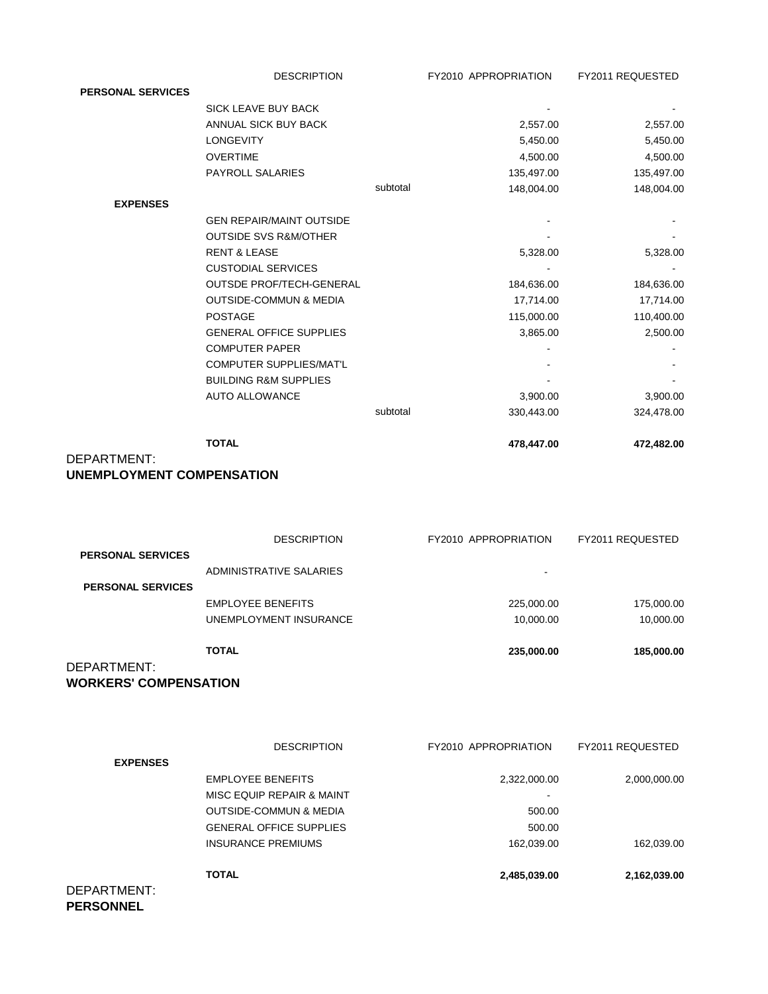|                          | <b>DESCRIPTION</b>                |          | FY2010 APPROPRIATION | FY2011 REQUESTED |
|--------------------------|-----------------------------------|----------|----------------------|------------------|
| <b>PERSONAL SERVICES</b> |                                   |          |                      |                  |
|                          | SICK LEAVE BUY BACK               |          |                      |                  |
|                          | ANNUAL SICK BUY BACK              |          | 2,557.00             | 2,557.00         |
|                          | <b>LONGEVITY</b>                  |          | 5,450.00             | 5,450.00         |
|                          | <b>OVERTIME</b>                   |          | 4,500.00             | 4,500.00         |
|                          | <b>PAYROLL SALARIES</b>           |          | 135,497.00           | 135,497.00       |
|                          |                                   | subtotal | 148,004.00           | 148,004.00       |
| <b>EXPENSES</b>          |                                   |          |                      |                  |
|                          | <b>GEN REPAIR/MAINT OUTSIDE</b>   |          |                      |                  |
|                          | <b>OUTSIDE SVS R&amp;M/OTHER</b>  |          |                      |                  |
|                          | <b>RENT &amp; LEASE</b>           |          | 5,328.00             | 5,328.00         |
|                          | <b>CUSTODIAL SERVICES</b>         |          |                      |                  |
|                          | OUTSDE PROF/TECH-GENERAL          |          | 184,636.00           | 184,636.00       |
|                          | <b>OUTSIDE-COMMUN &amp; MEDIA</b> |          | 17,714.00            | 17,714.00        |
|                          | <b>POSTAGE</b>                    |          | 115,000.00           | 110,400.00       |
|                          | <b>GENERAL OFFICE SUPPLIES</b>    |          | 3,865.00             | 2,500.00         |
|                          | <b>COMPUTER PAPER</b>             |          |                      |                  |
|                          | <b>COMPUTER SUPPLIES/MAT'L</b>    |          |                      |                  |
|                          | <b>BUILDING R&amp;M SUPPLIES</b>  |          |                      |                  |
|                          | <b>AUTO ALLOWANCE</b>             |          | 3,900.00             | 3,900.00         |
|                          |                                   | subtotal | 330,443.00           | 324,478.00       |
|                          | <b>TOTAL</b>                      |          | 478,447.00           | 472,482.00       |
| DEPARTMENT:              |                                   |          |                      |                  |

#### **UNEMPLOYMENT COMPENSATION**

| - -- - - - - - - - -     | <b>TOTAL</b>             | 235,000.00           | 185,000.00              |
|--------------------------|--------------------------|----------------------|-------------------------|
|                          | UNEMPLOYMENT INSURANCE   | 10,000.00            | 10,000.00               |
|                          | <b>EMPLOYEE BENEFITS</b> | 225,000.00           | 175,000.00              |
| <b>PERSONAL SERVICES</b> |                          |                      |                         |
| <b>PERSONAL SERVICES</b> | ADMINISTRATIVE SALARIES  | $\blacksquare$       |                         |
|                          | <b>DESCRIPTION</b>       | FY2010 APPROPRIATION | <b>FY2011 REQUESTED</b> |
|                          |                          |                      |                         |

#### DEPARTMENT: **WORKERS' COMPENSATION**

| DEPARTMENT:<br><b>PERSONNEL</b> |                                   |                             |                  |
|---------------------------------|-----------------------------------|-----------------------------|------------------|
|                                 | <b>TOTAL</b>                      | 2,485,039.00                | 2,162,039.00     |
|                                 | <b>INSURANCE PREMIUMS</b>         | 162,039.00                  | 162,039.00       |
|                                 | <b>GENERAL OFFICE SUPPLIES</b>    | 500.00                      |                  |
|                                 | <b>OUTSIDE-COMMUN &amp; MEDIA</b> | 500.00                      |                  |
|                                 | MISC EQUIP REPAIR & MAINT         | ٠                           |                  |
|                                 | <b>EMPLOYEE BENEFITS</b>          | 2,322,000.00                | 2,000,000.00     |
| <b>EXPENSES</b>                 |                                   |                             |                  |
|                                 | <b>DESCRIPTION</b>                | <b>FY2010 APPROPRIATION</b> | FY2011 REQUESTED |
|                                 |                                   |                             |                  |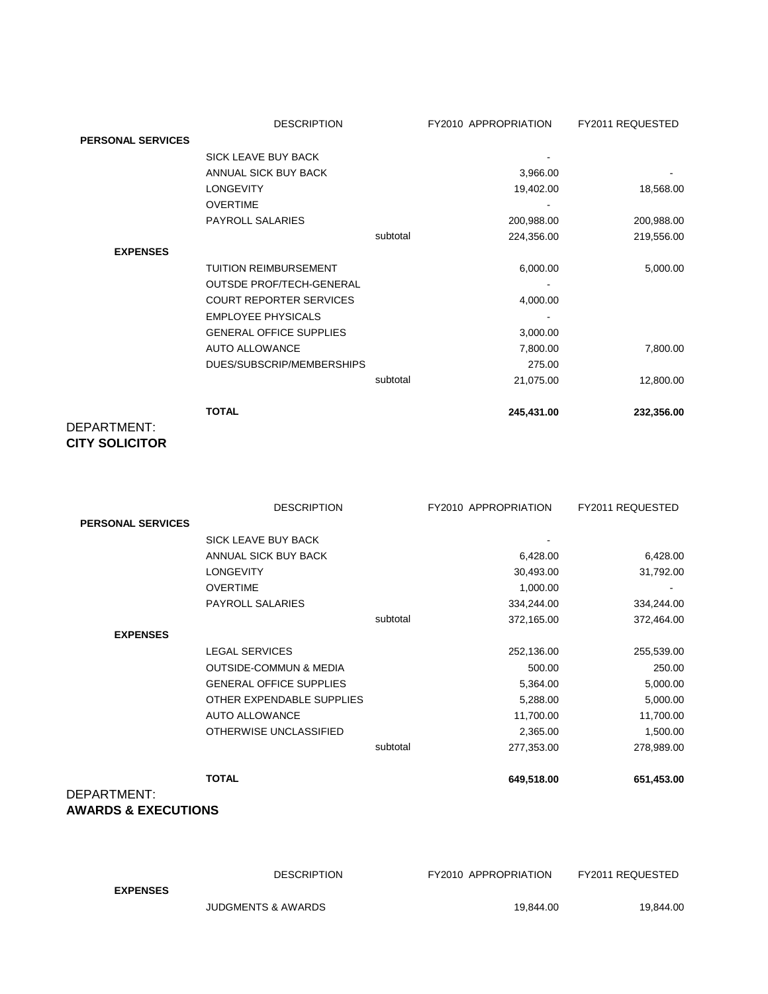|                          | <b>DESCRIPTION</b>              |          | <b>FY2010 APPROPRIATION</b> | FY2011 REQUESTED |
|--------------------------|---------------------------------|----------|-----------------------------|------------------|
| <b>PERSONAL SERVICES</b> |                                 |          |                             |                  |
|                          | SICK LEAVE BUY BACK             |          |                             |                  |
|                          | ANNUAL SICK BUY BACK            |          | 3,966.00                    |                  |
|                          | <b>LONGEVITY</b>                |          | 19,402.00                   | 18,568.00        |
|                          | <b>OVERTIME</b>                 |          |                             |                  |
|                          | PAYROLL SALARIES                |          | 200,988.00                  | 200,988.00       |
|                          |                                 | subtotal | 224,356.00                  | 219,556.00       |
| <b>EXPENSES</b>          |                                 |          |                             |                  |
|                          | <b>TUITION REIMBURSEMENT</b>    |          | 6,000.00                    | 5,000.00         |
|                          | <b>OUTSDE PROF/TECH-GENERAL</b> |          |                             |                  |
|                          | <b>COURT REPORTER SERVICES</b>  |          | 4,000.00                    |                  |
|                          | <b>EMPLOYEE PHYSICALS</b>       |          |                             |                  |
|                          | <b>GENERAL OFFICE SUPPLIES</b>  |          | 3,000.00                    |                  |
|                          | <b>AUTO ALLOWANCE</b>           |          | 7,800.00                    | 7,800.00         |
|                          | DUES/SUBSCRIP/MEMBERSHIPS       |          | 275.00                      |                  |
|                          |                                 | subtotal | 21,075.00                   | 12,800.00        |
|                          | <b>TOTAL</b>                    |          | 245,431.00                  | 232,356.00       |
| DEPARTMENT:              |                                 |          |                             |                  |

## **CITY SOLICITOR**

|                          | <b>DESCRIPTION</b>                |          | FY2010 APPROPRIATION | FY2011 REQUESTED |
|--------------------------|-----------------------------------|----------|----------------------|------------------|
| <b>PERSONAL SERVICES</b> |                                   |          |                      |                  |
|                          | SICK LEAVE BUY BACK               |          |                      |                  |
|                          | ANNUAL SICK BUY BACK              |          | 6,428.00             | 6,428.00         |
|                          | <b>LONGEVITY</b>                  |          | 30,493.00            | 31,792.00        |
|                          | <b>OVERTIME</b>                   |          | 1,000.00             |                  |
|                          | <b>PAYROLL SALARIES</b>           |          | 334,244.00           | 334,244.00       |
|                          |                                   | subtotal | 372,165.00           | 372,464.00       |
| <b>EXPENSES</b>          |                                   |          |                      |                  |
|                          | <b>LEGAL SERVICES</b>             |          | 252,136.00           | 255,539.00       |
|                          | <b>OUTSIDE-COMMUN &amp; MEDIA</b> |          | 500.00               | 250.00           |
|                          | <b>GENERAL OFFICE SUPPLIES</b>    |          | 5,364.00             | 5,000.00         |
|                          | OTHER EXPENDABLE SUPPLIES         |          | 5,288.00             | 5,000.00         |
|                          | <b>AUTO ALLOWANCE</b>             |          | 11,700.00            | 11,700.00        |
|                          | OTHERWISE UNCLASSIFIED            |          | 2,365.00             | 1,500.00         |
|                          |                                   | subtotal | 277,353.00           | 278,989.00       |
|                          | <b>TOTAL</b>                      |          | 649,518.00           | 651,453.00       |
| DEPARTMENT:              |                                   |          |                      |                  |

#### **AWARDS & EXECUTIONS**

|                 | <b>DESCRIPTION</b>            | FY2010 APPROPRIATION | <b>FY2011 REQUESTED</b> |
|-----------------|-------------------------------|----------------------|-------------------------|
| <b>EXPENSES</b> |                               |                      |                         |
|                 | <b>JUDGMENTS &amp; AWARDS</b> | 19.844.00            | 19,844.00               |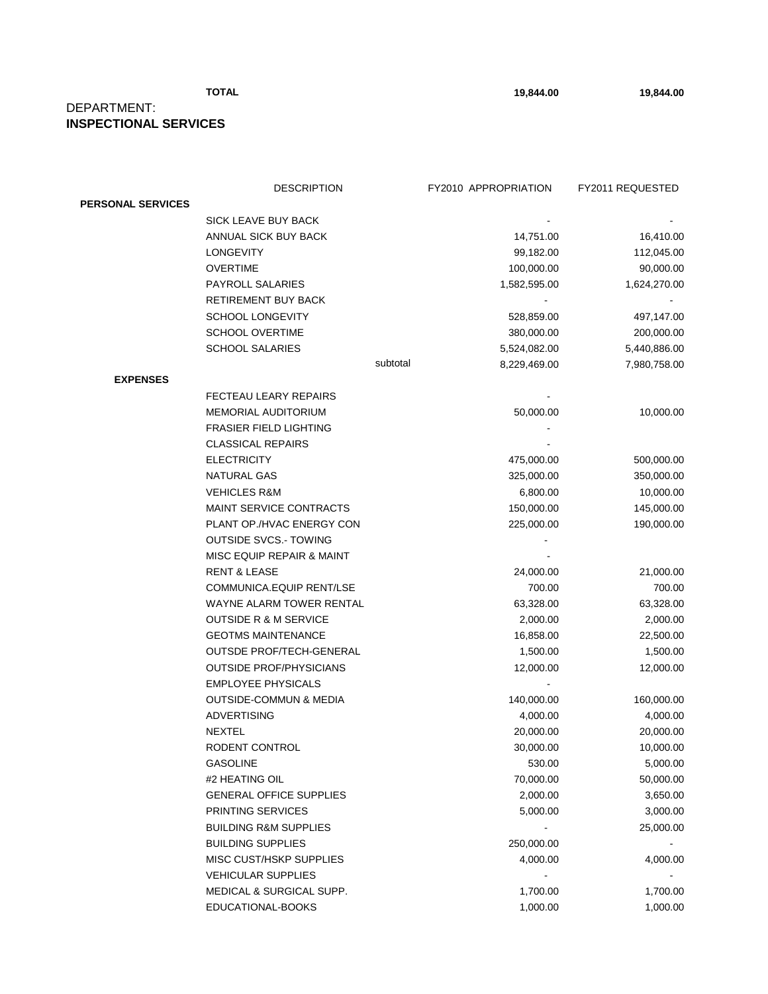**TOTAL** 19,844.00 **19,844.00** 

#### DEPARTMENT: **INSPECTIONAL SERVICES**

|                          | <b>DESCRIPTION</b>                |          | FY2010 APPROPRIATION | FY2011 REQUESTED |
|--------------------------|-----------------------------------|----------|----------------------|------------------|
| <b>PERSONAL SERVICES</b> |                                   |          |                      |                  |
|                          | SICK LEAVE BUY BACK               |          |                      |                  |
|                          | ANNUAL SICK BUY BACK              |          | 14,751.00            | 16,410.00        |
|                          | <b>LONGEVITY</b>                  |          | 99,182.00            | 112,045.00       |
|                          | <b>OVERTIME</b>                   |          | 100,000.00           | 90,000.00        |
|                          | <b>PAYROLL SALARIES</b>           |          | 1,582,595.00         | 1,624,270.00     |
|                          | RETIREMENT BUY BACK               |          |                      |                  |
|                          | <b>SCHOOL LONGEVITY</b>           |          | 528,859.00           | 497,147.00       |
|                          | SCHOOL OVERTIME                   |          | 380,000.00           | 200,000.00       |
|                          | SCHOOL SALARIES                   |          | 5,524,082.00         | 5,440,886.00     |
|                          |                                   | subtotal | 8,229,469.00         | 7,980,758.00     |
| <b>EXPENSES</b>          |                                   |          |                      |                  |
|                          | FECTEAU LEARY REPAIRS             |          |                      |                  |
|                          | <b>MEMORIAL AUDITORIUM</b>        |          | 50,000.00            | 10,000.00        |
|                          | <b>FRASIER FIELD LIGHTING</b>     |          |                      |                  |
|                          | <b>CLASSICAL REPAIRS</b>          |          |                      |                  |
|                          | <b>ELECTRICITY</b>                |          | 475,000.00           | 500,000.00       |
|                          | NATURAL GAS                       |          | 325,000.00           | 350,000.00       |
|                          | <b>VEHICLES R&amp;M</b>           |          | 6,800.00             | 10,000.00        |
|                          | <b>MAINT SERVICE CONTRACTS</b>    |          | 150,000.00           | 145,000.00       |
|                          | PLANT OP./HVAC ENERGY CON         |          | 225,000.00           | 190,000.00       |
|                          | <b>OUTSIDE SVCS.- TOWING</b>      |          |                      |                  |
|                          | MISC EQUIP REPAIR & MAINT         |          |                      |                  |
|                          | <b>RENT &amp; LEASE</b>           |          | 24,000.00            | 21,000.00        |
|                          | COMMUNICA.EQUIP RENT/LSE          |          | 700.00               | 700.00           |
|                          | WAYNE ALARM TOWER RENTAL          |          | 63,328.00            | 63,328.00        |
|                          | <b>OUTSIDE R &amp; M SERVICE</b>  |          | 2,000.00             | 2,000.00         |
|                          | <b>GEOTMS MAINTENANCE</b>         |          | 16,858.00            | 22,500.00        |
|                          | OUTSDE PROF/TECH-GENERAL          |          | 1,500.00             | 1,500.00         |
|                          | <b>OUTSIDE PROF/PHYSICIANS</b>    |          | 12,000.00            | 12,000.00        |
|                          | <b>EMPLOYEE PHYSICALS</b>         |          |                      |                  |
|                          | <b>OUTSIDE-COMMUN &amp; MEDIA</b> |          | 140,000.00           | 160,000.00       |
|                          | <b>ADVERTISING</b>                |          | 4,000.00             | 4,000.00         |
|                          | <b>NEXTEL</b>                     |          | 20,000.00            | 20,000.00        |
|                          | RODENT CONTROL                    |          | 30,000.00            | 10,000.00        |
|                          | GASOLINE                          |          | 530.00               | 5,000.00         |
|                          | #2 HEATING OIL                    |          | 70,000.00            | 50,000.00        |
|                          | <b>GENERAL OFFICE SUPPLIES</b>    |          | 2,000.00             | 3,650.00         |
|                          | <b>PRINTING SERVICES</b>          |          | 5,000.00             | 3,000.00         |
|                          | <b>BUILDING R&amp;M SUPPLIES</b>  |          |                      | 25,000.00        |
|                          | <b>BUILDING SUPPLIES</b>          |          | 250,000.00           |                  |
|                          | MISC CUST/HSKP SUPPLIES           |          | 4,000.00             | 4,000.00         |
|                          | <b>VEHICULAR SUPPLIES</b>         |          |                      |                  |
|                          | MEDICAL & SURGICAL SUPP.          |          | 1,700.00             | 1,700.00         |
|                          | EDUCATIONAL-BOOKS                 |          | 1,000.00             | 1,000.00         |
|                          |                                   |          |                      |                  |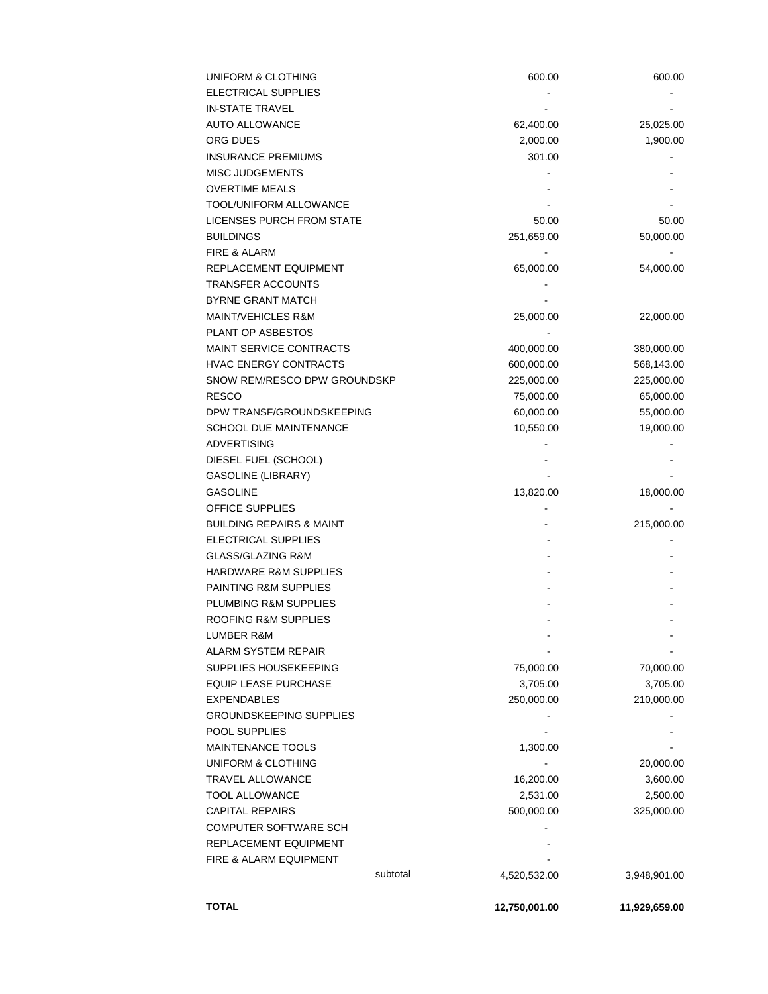| UNIFORM & CLOTHING                  | 600.00         | 600.00        |
|-------------------------------------|----------------|---------------|
| <b>ELECTRICAL SUPPLIES</b>          |                |               |
| <b>IN-STATE TRAVEL</b>              |                |               |
| <b>AUTO ALLOWANCE</b>               | 62,400.00      | 25,025.00     |
| ORG DUES                            | 2,000.00       | 1,900.00      |
| <b>INSURANCE PREMIUMS</b>           | 301.00         |               |
| <b>MISC JUDGEMENTS</b>              |                |               |
| <b>OVERTIME MEALS</b>               |                |               |
| TOOL/UNIFORM ALLOWANCE              |                |               |
| LICENSES PURCH FROM STATE           | 50.00          | 50.00         |
| <b>BUILDINGS</b>                    | 251,659.00     | 50,000.00     |
| <b>FIRE &amp; ALARM</b>             |                |               |
| REPLACEMENT EQUIPMENT               | 65,000.00      | 54,000.00     |
|                                     |                |               |
| <b>TRANSFER ACCOUNTS</b>            |                |               |
| <b>BYRNE GRANT MATCH</b>            |                |               |
| <b>MAINT/VEHICLES R&amp;M</b>       | 25,000.00      | 22,000.00     |
| PLANT OP ASBESTOS                   |                |               |
| <b>MAINT SERVICE CONTRACTS</b>      | 400,000.00     | 380,000.00    |
| <b>HVAC ENERGY CONTRACTS</b>        | 600,000.00     | 568,143.00    |
| SNOW REM/RESCO DPW GROUNDSKP        | 225,000.00     | 225,000.00    |
| <b>RESCO</b>                        | 75,000.00      | 65,000.00     |
| DPW TRANSF/GROUNDSKEEPING           | 60,000.00      | 55,000.00     |
| <b>SCHOOL DUE MAINTENANCE</b>       | 10,550.00      | 19,000.00     |
| ADVERTISING                         |                |               |
| DIESEL FUEL (SCHOOL)                |                |               |
| <b>GASOLINE (LIBRARY)</b>           |                |               |
| <b>GASOLINE</b>                     | 13,820.00      | 18,000.00     |
| <b>OFFICE SUPPLIES</b>              |                |               |
| <b>BUILDING REPAIRS &amp; MAINT</b> |                | 215,000.00    |
| ELECTRICAL SUPPLIES                 | $\blacksquare$ |               |
| <b>GLASS/GLAZING R&amp;M</b>        |                |               |
| <b>HARDWARE R&amp;M SUPPLIES</b>    |                |               |
| <b>PAINTING R&amp;M SUPPLIES</b>    |                |               |
| PLUMBING R&M SUPPLIES               |                |               |
| ROOFING R&M SUPPLIES                |                |               |
| LUMBER R&M                          |                |               |
| ALARM SYSTEM REPAIR                 |                |               |
| SUPPLIES HOUSEKEEPING               | 75,000.00      | 70,000.00     |
| <b>EQUIP LEASE PURCHASE</b>         | 3,705.00       | 3,705.00      |
| <b>EXPENDABLES</b>                  | 250,000.00     | 210,000.00    |
| <b>GROUNDSKEEPING SUPPLIES</b>      |                |               |
| POOL SUPPLIES                       |                |               |
| MAINTENANCE TOOLS                   | 1,300.00       |               |
| UNIFORM & CLOTHING                  |                | 20,000.00     |
| <b>TRAVEL ALLOWANCE</b>             | 16,200.00      | 3,600.00      |
| <b>TOOL ALLOWANCE</b>               | 2,531.00       | 2,500.00      |
| <b>CAPITAL REPAIRS</b>              | 500,000.00     | 325,000.00    |
| COMPUTER SOFTWARE SCH               |                |               |
| REPLACEMENT EQUIPMENT               |                |               |
| FIRE & ALARM EQUIPMENT              |                |               |
| subtotal                            | 4,520,532.00   | 3,948,901.00  |
| <b>TOTAL</b>                        | 12,750,001.00  | 11,929,659.00 |
|                                     |                |               |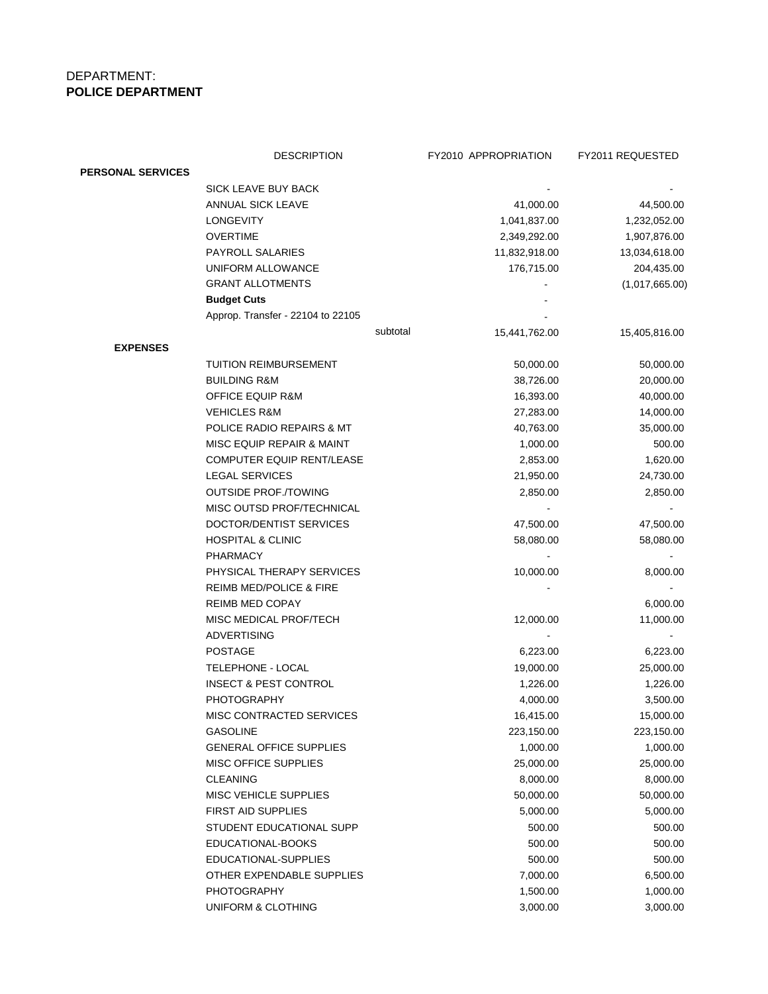#### DEPARTMENT: **POLICE DEPARTMENT**

|                          | <b>DESCRIPTION</b>                 |          | FY2010 APPROPRIATION | FY2011 REQUESTED |
|--------------------------|------------------------------------|----------|----------------------|------------------|
| <b>PERSONAL SERVICES</b> |                                    |          |                      |                  |
|                          | SICK LEAVE BUY BACK                |          |                      |                  |
|                          | ANNUAL SICK LEAVE                  |          | 41,000.00            | 44,500.00        |
|                          | <b>LONGEVITY</b>                   |          | 1,041,837.00         | 1,232,052.00     |
|                          | <b>OVERTIME</b>                    |          | 2,349,292.00         | 1,907,876.00     |
|                          | <b>PAYROLL SALARIES</b>            |          | 11,832,918.00        | 13,034,618.00    |
|                          | UNIFORM ALLOWANCE                  |          | 176,715.00           | 204,435.00       |
|                          | <b>GRANT ALLOTMENTS</b>            |          |                      | (1,017,665.00)   |
|                          | <b>Budget Cuts</b>                 |          |                      |                  |
|                          | Approp. Transfer - 22104 to 22105  |          |                      |                  |
|                          |                                    | subtotal | 15,441,762.00        | 15,405,816.00    |
| <b>EXPENSES</b>          |                                    |          |                      |                  |
|                          | TUITION REIMBURSEMENT              |          | 50,000.00            | 50,000.00        |
|                          | <b>BUILDING R&amp;M</b>            |          | 38,726.00            | 20,000.00        |
|                          | <b>OFFICE EQUIP R&amp;M</b>        |          | 16,393.00            | 40,000.00        |
|                          | <b>VEHICLES R&amp;M</b>            |          | 27,283.00            | 14,000.00        |
|                          | POLICE RADIO REPAIRS & MT          |          | 40,763.00            | 35,000.00        |
|                          | MISC EQUIP REPAIR & MAINT          |          | 1,000.00             | 500.00           |
|                          | COMPUTER EQUIP RENT/LEASE          |          | 2,853.00             | 1,620.00         |
|                          | <b>LEGAL SERVICES</b>              |          | 21,950.00            | 24,730.00        |
|                          | <b>OUTSIDE PROF./TOWING</b>        |          | 2,850.00             | 2,850.00         |
|                          | MISC OUTSD PROF/TECHNICAL          |          |                      |                  |
|                          | DOCTOR/DENTIST SERVICES            |          | 47,500.00            | 47,500.00        |
|                          | <b>HOSPITAL &amp; CLINIC</b>       |          | 58,080.00            | 58,080.00        |
|                          | <b>PHARMACY</b>                    |          |                      |                  |
|                          | PHYSICAL THERAPY SERVICES          |          | 10,000.00            | 8,000.00         |
|                          | <b>REIMB MED/POLICE &amp; FIRE</b> |          |                      |                  |
|                          | REIMB MED COPAY                    |          |                      | 6,000.00         |
|                          | MISC MEDICAL PROF/TECH             |          | 12,000.00            | 11,000.00        |
|                          | <b>ADVERTISING</b>                 |          |                      |                  |
|                          | <b>POSTAGE</b>                     |          | 6,223.00             | 6,223.00         |
|                          | TELEPHONE - LOCAL                  |          | 19,000.00            | 25,000.00        |
|                          | <b>INSECT &amp; PEST CONTROL</b>   |          | 1,226.00             | 1,226.00         |
|                          | <b>PHOTOGRAPHY</b>                 |          | 4,000.00             | 3,500.00         |
|                          | MISC CONTRACTED SERVICES           |          | 16,415.00            | 15,000.00        |
|                          | <b>GASOLINE</b>                    |          | 223,150.00           | 223,150.00       |
|                          | <b>GENERAL OFFICE SUPPLIES</b>     |          | 1,000.00             | 1,000.00         |
|                          | <b>MISC OFFICE SUPPLIES</b>        |          | 25,000.00            | 25,000.00        |
|                          | <b>CLEANING</b>                    |          | 8,000.00             | 8,000.00         |
|                          | <b>MISC VEHICLE SUPPLIES</b>       |          | 50,000.00            |                  |
|                          |                                    |          |                      | 50,000.00        |
|                          | <b>FIRST AID SUPPLIES</b>          |          | 5,000.00             | 5,000.00         |
|                          | STUDENT EDUCATIONAL SUPP           |          | 500.00               | 500.00           |
|                          | EDUCATIONAL-BOOKS                  |          | 500.00               | 500.00           |
|                          | EDUCATIONAL-SUPPLIES               |          | 500.00               | 500.00           |
|                          | OTHER EXPENDABLE SUPPLIES          |          | 7,000.00             | 6,500.00         |
|                          | <b>PHOTOGRAPHY</b>                 |          | 1,500.00             | 1,000.00         |
|                          | UNIFORM & CLOTHING                 |          | 3,000.00             | 3,000.00         |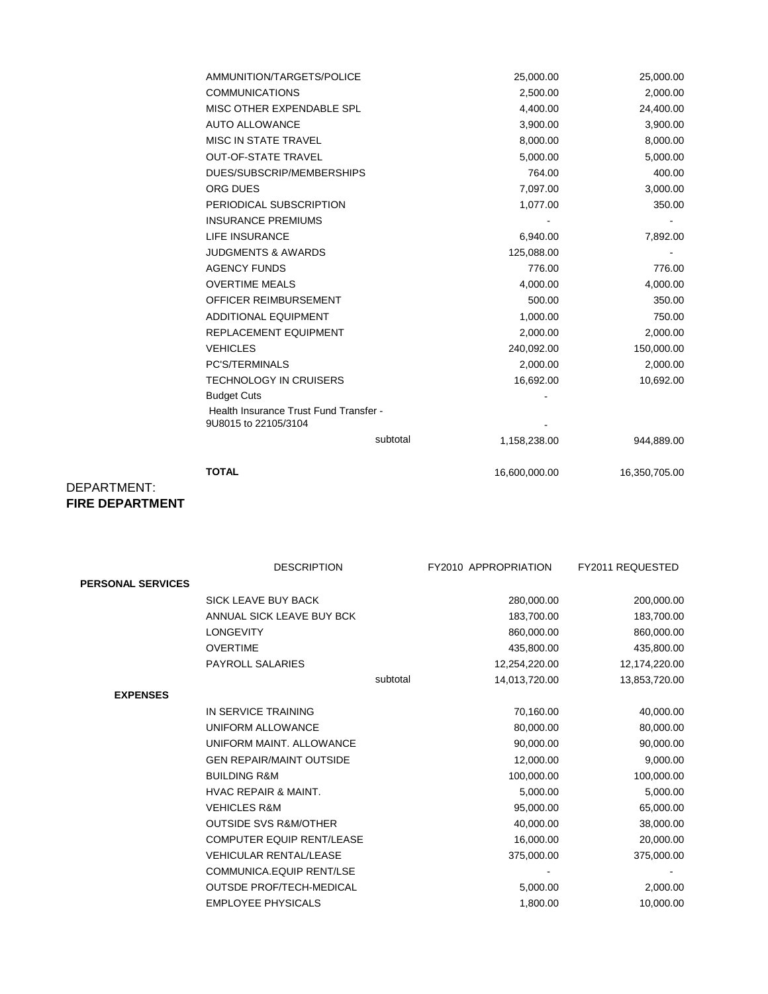| AMMUNITION/TARGETS/POLICE                                      | 25,000.00     | 25,000.00     |
|----------------------------------------------------------------|---------------|---------------|
| <b>COMMUNICATIONS</b>                                          | 2,500.00      | 2,000.00      |
| MISC OTHER EXPENDABLE SPL                                      | 4,400.00      | 24,400.00     |
| <b>AUTO ALLOWANCE</b>                                          | 3,900.00      | 3,900.00      |
| MISC IN STATE TRAVEL                                           | 8,000.00      | 8,000.00      |
| <b>OUT-OF-STATE TRAVEL</b>                                     | 5,000.00      | 5,000.00      |
| DUES/SUBSCRIP/MEMBERSHIPS                                      | 764.00        | 400.00        |
| ORG DUES                                                       | 7,097.00      | 3,000.00      |
| PERIODICAL SUBSCRIPTION                                        | 1,077.00      | 350.00        |
| <b>INSURANCE PREMIUMS</b>                                      |               |               |
| <b>LIFE INSURANCE</b>                                          | 6,940.00      | 7,892.00      |
| <b>JUDGMENTS &amp; AWARDS</b>                                  | 125,088.00    |               |
| <b>AGENCY FUNDS</b>                                            | 776.00        | 776.00        |
| <b>OVERTIME MEALS</b>                                          | 4,000.00      | 4,000.00      |
| OFFICER REIMBURSEMENT                                          | 500.00        | 350.00        |
| <b>ADDITIONAL EQUIPMENT</b>                                    | 1,000.00      | 750.00        |
| REPLACEMENT EQUIPMENT                                          | 2,000.00      | 2,000.00      |
| <b>VEHICLES</b>                                                | 240,092.00    | 150,000.00    |
| <b>PC'S/TERMINALS</b>                                          | 2,000.00      | 2,000.00      |
| <b>TECHNOLOGY IN CRUISERS</b>                                  | 16,692.00     | 10,692.00     |
| <b>Budget Cuts</b>                                             |               |               |
| Health Insurance Trust Fund Transfer -<br>9U8015 to 22105/3104 |               |               |
| subtotal                                                       | 1,158,238.00  | 944,889.00    |
| <b>TOTAL</b>                                                   | 16,600,000.00 | 16,350,705.00 |

#### DEPARTMENT: **FIRE DEPARTMENT**

|                          | <b>DESCRIPTION</b>               |          | FY2010 APPROPRIATION | FY2011 REQUESTED |
|--------------------------|----------------------------------|----------|----------------------|------------------|
| <b>PERSONAL SERVICES</b> |                                  |          |                      |                  |
|                          | <b>SICK LEAVE BUY BACK</b>       |          | 280,000.00           | 200,000.00       |
|                          | ANNUAL SICK LEAVE BUY BCK        |          | 183,700.00           | 183,700.00       |
|                          | <b>LONGEVITY</b>                 |          | 860,000.00           | 860,000.00       |
|                          | <b>OVERTIME</b>                  |          | 435,800.00           | 435,800.00       |
|                          | <b>PAYROLL SALARIES</b>          |          | 12,254,220.00        | 12,174,220.00    |
|                          |                                  | subtotal | 14,013,720.00        | 13,853,720.00    |
| <b>EXPENSES</b>          |                                  |          |                      |                  |
|                          | IN SERVICE TRAINING              |          | 70,160.00            | 40,000.00        |
|                          | UNIFORM ALLOWANCE                |          | 80,000.00            | 80,000.00        |
|                          | UNIFORM MAINT, ALLOWANCE         |          | 90,000.00            | 90,000.00        |
|                          | <b>GEN REPAIR/MAINT OUTSIDE</b>  |          | 12,000.00            | 9,000.00         |
|                          | <b>BUILDING R&amp;M</b>          |          | 100,000.00           | 100,000.00       |
|                          | <b>HVAC REPAIR &amp; MAINT.</b>  |          | 5,000.00             | 5,000.00         |
|                          | <b>VEHICLES R&amp;M</b>          |          | 95,000.00            | 65,000.00        |
|                          | <b>OUTSIDE SVS R&amp;M/OTHER</b> |          | 40,000.00            | 38,000.00        |
|                          | <b>COMPUTER EQUIP RENT/LEASE</b> |          | 16,000.00            | 20,000.00        |
|                          | <b>VEHICULAR RENTAL/LEASE</b>    |          | 375,000.00           | 375,000.00       |
|                          | <b>COMMUNICA.EQUIP RENT/LSE</b>  |          |                      |                  |
|                          | <b>OUTSDE PROF/TECH-MEDICAL</b>  |          | 5,000.00             | 2,000.00         |
|                          | <b>EMPLOYEE PHYSICALS</b>        |          | 1,800.00             | 10,000.00        |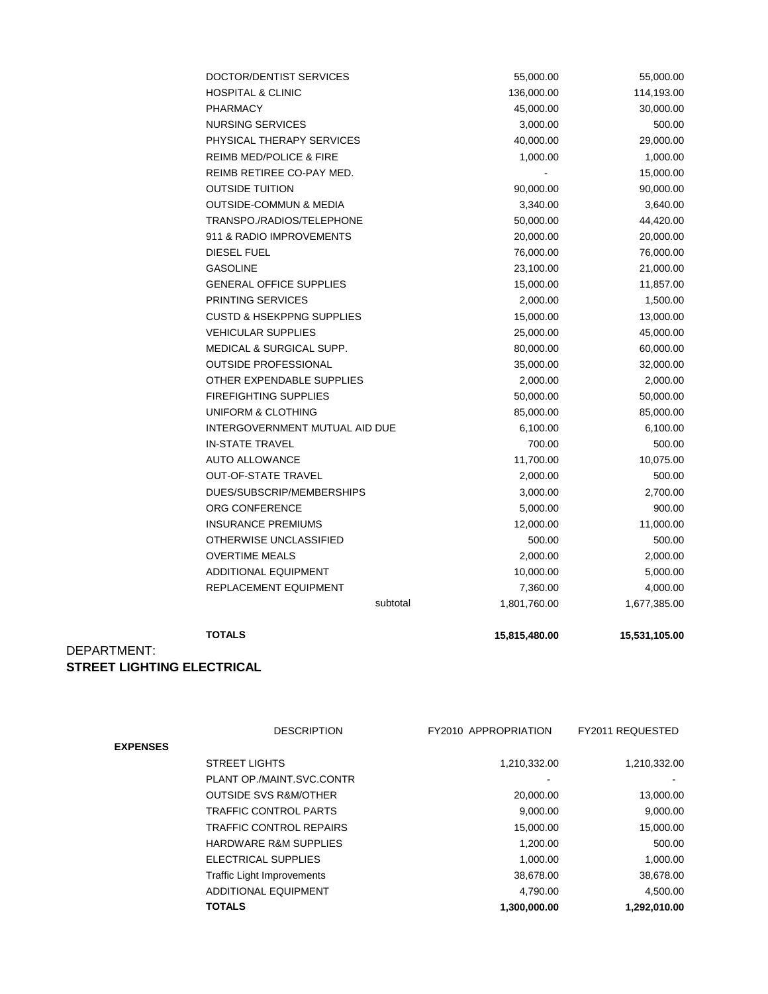| DOCTOR/DENTIST SERVICES              | 55,000.00    | 55,000.00    |
|--------------------------------------|--------------|--------------|
| <b>HOSPITAL &amp; CLINIC</b>         | 136,000.00   | 114,193.00   |
| <b>PHARMACY</b>                      | 45,000.00    | 30,000.00    |
| <b>NURSING SERVICES</b>              | 3,000.00     | 500.00       |
| PHYSICAL THERAPY SERVICES            | 40,000.00    | 29,000.00    |
| <b>REIMB MED/POLICE &amp; FIRE</b>   | 1,000.00     | 1,000.00     |
| REIMB RETIREE CO-PAY MED.            |              | 15,000.00    |
| <b>OUTSIDE TUITION</b>               | 90,000.00    | 90,000.00    |
| <b>OUTSIDE-COMMUN &amp; MEDIA</b>    | 3,340.00     | 3,640.00     |
| TRANSPO./RADIOS/TELEPHONE            | 50,000.00    | 44,420.00    |
| 911 & RADIO IMPROVEMENTS             | 20,000.00    | 20,000.00    |
| <b>DIESEL FUEL</b>                   | 76,000.00    | 76,000.00    |
| <b>GASOLINE</b>                      | 23,100.00    | 21,000.00    |
| <b>GENERAL OFFICE SUPPLIES</b>       | 15,000.00    | 11,857.00    |
| PRINTING SERVICES                    | 2,000.00     | 1,500.00     |
| <b>CUSTD &amp; HSEKPPNG SUPPLIES</b> | 15,000.00    | 13,000.00    |
| <b>VEHICULAR SUPPLIES</b>            | 25,000.00    | 45,000.00    |
| MEDICAL & SURGICAL SUPP.             | 80,000.00    | 60,000.00    |
| <b>OUTSIDE PROFESSIONAL</b>          | 35,000.00    | 32,000.00    |
| OTHER EXPENDABLE SUPPLIES            | 2,000.00     | 2,000.00     |
| <b>FIREFIGHTING SUPPLIES</b>         | 50,000.00    | 50,000.00    |
| UNIFORM & CLOTHING                   | 85,000.00    | 85,000.00    |
| INTERGOVERNMENT MUTUAL AID DUE       | 6,100.00     | 6,100.00     |
| <b>IN-STATE TRAVEL</b>               | 700.00       | 500.00       |
| <b>AUTO ALLOWANCE</b>                | 11,700.00    | 10,075.00    |
| <b>OUT-OF-STATE TRAVEL</b>           | 2,000.00     | 500.00       |
| DUES/SUBSCRIP/MEMBERSHIPS            | 3,000.00     | 2,700.00     |
| ORG CONFERENCE                       | 5,000.00     | 900.00       |
| <b>INSURANCE PREMIUMS</b>            | 12,000.00    | 11,000.00    |
| OTHERWISE UNCLASSIFIED               | 500.00       | 500.00       |
| <b>OVERTIME MEALS</b>                | 2,000.00     | 2,000.00     |
| <b>ADDITIONAL EQUIPMENT</b>          | 10,000.00    | 5,000.00     |
| REPLACEMENT EQUIPMENT                | 7,360.00     | 4,000.00     |
| subtotal                             | 1,801,760.00 | 1,677,385.00 |

**TOTALS** 15,815,480.00 15,531,105.00

#### DEPARTMENT: **STREET LIGHTING ELECTRICAL**

|                 | <b>DESCRIPTION</b>                | <b>FY2010 APPROPRIATION</b> | FY2011 REQUESTED |
|-----------------|-----------------------------------|-----------------------------|------------------|
| <b>EXPENSES</b> |                                   |                             |                  |
|                 | <b>STREET LIGHTS</b>              | 1,210,332.00                | 1,210,332.00     |
|                 | PLANT OP./MAINT.SVC.CONTR         |                             |                  |
|                 | <b>OUTSIDE SVS R&amp;M/OTHER</b>  | 20,000.00                   | 13,000.00        |
|                 | TRAFFIC CONTROL PARTS             | 9,000.00                    | 9,000.00         |
|                 | <b>TRAFFIC CONTROL REPAIRS</b>    | 15,000.00                   | 15,000.00        |
|                 | <b>HARDWARE R&amp;M SUPPLIES</b>  | 1,200.00                    | 500.00           |
|                 | ELECTRICAL SUPPLIES               | 1,000.00                    | 1,000.00         |
|                 | <b>Traffic Light Improvements</b> | 38,678.00                   | 38,678.00        |
|                 | <b>ADDITIONAL EQUIPMENT</b>       | 4,790.00                    | 4,500.00         |
|                 | <b>TOTALS</b>                     | 1,300,000.00                | 1,292,010.00     |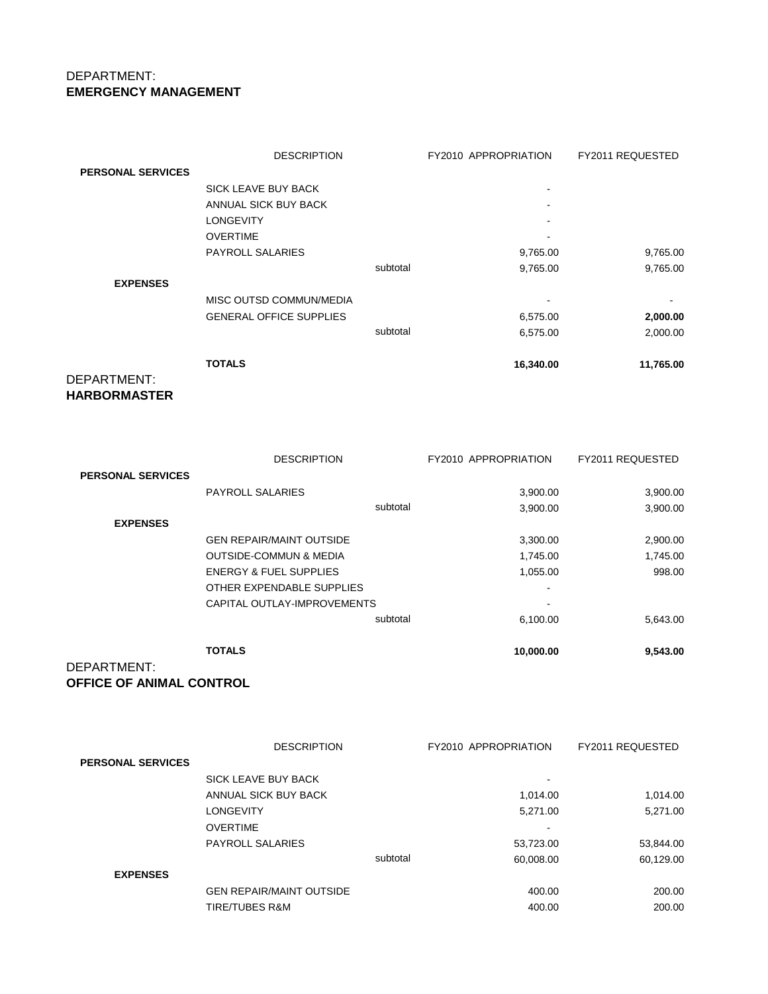#### DEPARTMENT: **EMERGENCY MANAGEMENT**

|                          | <b>DESCRIPTION</b>             |          | FY2010 APPROPRIATION     | FY2011 REQUESTED |
|--------------------------|--------------------------------|----------|--------------------------|------------------|
| <b>PERSONAL SERVICES</b> |                                |          |                          |                  |
|                          | SICK LEAVE BUY BACK            |          | $\overline{\phantom{0}}$ |                  |
|                          | ANNUAL SICK BUY BACK           |          | $\blacksquare$           |                  |
|                          | <b>LONGEVITY</b>               |          | $\blacksquare$           |                  |
|                          | <b>OVERTIME</b>                |          |                          |                  |
|                          | <b>PAYROLL SALARIES</b>        |          | 9,765.00                 | 9,765.00         |
|                          |                                | subtotal | 9,765.00                 | 9,765.00         |
| <b>EXPENSES</b>          |                                |          |                          |                  |
|                          | MISC OUTSD COMMUN/MEDIA        |          |                          |                  |
|                          | <b>GENERAL OFFICE SUPPLIES</b> |          | 6,575.00                 | 2,000.00         |
|                          |                                | subtotal | 6,575.00                 | 2,000.00         |
|                          | <b>TOTALS</b>                  |          | 16,340.00                | 11,765.00        |
| DEPARTMENT:              |                                |          |                          |                  |

**HARBORMASTER**

| -----------              | <b>TOTALS</b>                     | 10,000.00                | 9,543.00         |
|--------------------------|-----------------------------------|--------------------------|------------------|
|                          | subtotal                          | 6,100.00                 | 5,643.00         |
|                          | CAPITAL OUTLAY-IMPROVEMENTS       | ۰                        |                  |
|                          | OTHER EXPENDABLE SUPPLIES         | $\overline{\phantom{0}}$ |                  |
|                          | <b>ENERGY &amp; FUEL SUPPLIES</b> | 1,055.00                 | 998.00           |
|                          | <b>OUTSIDE-COMMUN &amp; MEDIA</b> | 1,745.00                 | 1,745.00         |
|                          | <b>GEN REPAIR/MAINT OUTSIDE</b>   | 3,300.00                 | 2,900.00         |
| <b>EXPENSES</b>          |                                   |                          |                  |
|                          | subtotal                          | 3,900.00                 | 3,900.00         |
|                          | <b>PAYROLL SALARIES</b>           | 3,900.00                 | 3,900.00         |
| <b>PERSONAL SERVICES</b> |                                   |                          |                  |
|                          | <b>DESCRIPTION</b>                | FY2010 APPROPRIATION     | FY2011 REQUESTED |

DEPARTMENT: **OFFICE OF ANIMAL CONTROL**

| <b>DESCRIPTION</b>              |          | <b>FY2010 APPROPRIATION</b> | FY2011 REQUESTED |
|---------------------------------|----------|-----------------------------|------------------|
|                                 |          |                             |                  |
| SICK LEAVE BUY BACK             |          | $\blacksquare$              |                  |
| ANNUAL SICK BUY BACK            |          | 1.014.00                    | 1,014.00         |
| <b>LONGEVITY</b>                |          | 5,271.00                    | 5,271.00         |
| <b>OVERTIME</b>                 |          | $\overline{\phantom{0}}$    |                  |
| <b>PAYROLL SALARIES</b>         |          | 53,723.00                   | 53,844.00        |
|                                 | subtotal | 60,008.00                   | 60,129.00        |
|                                 |          |                             |                  |
| <b>GEN REPAIR/MAINT OUTSIDE</b> |          | 400.00                      | 200.00           |
| <b>TIRE/TUBES R&amp;M</b>       |          | 400.00                      | 200.00           |
|                                 |          |                             |                  |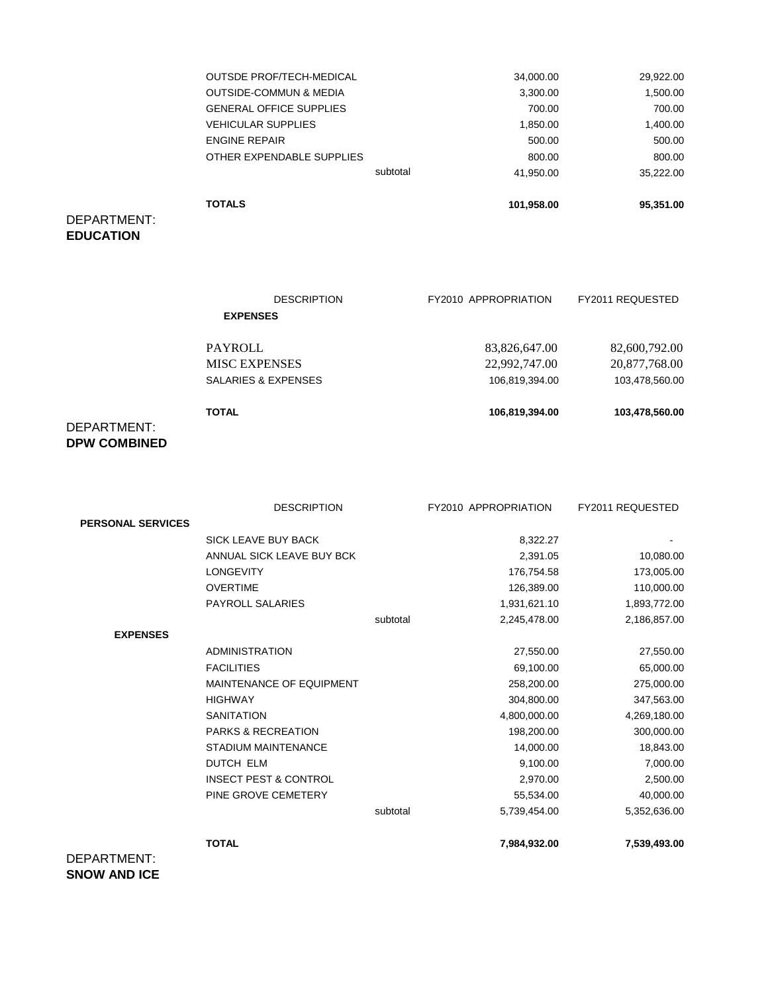| <b>TOTALS</b>                     |          | 101.958.00 | 95.351.00 |
|-----------------------------------|----------|------------|-----------|
|                                   | subtotal | 41,950.00  | 35.222.00 |
| OTHER EXPENDABLE SUPPLIES         |          | 800.00     | 800.00    |
| <b>ENGINE REPAIR</b>              |          | 500.00     | 500.00    |
| <b>VEHICULAR SUPPLIES</b>         |          | 1,850.00   | 1,400.00  |
| <b>GENERAL OFFICE SUPPLIES</b>    |          | 700.00     | 700.00    |
| <b>OUTSIDE-COMMUN &amp; MEDIA</b> |          | 3,300.00   | 1,500.00  |
| <b>OUTSDE PROF/TECH-MEDICAL</b>   |          | 34,000.00  | 29,922.00 |

#### DEPARTMENT: **EDUCATION**

|     | <b>DESCRIPTION</b>   | FY2010 APPROPRIATION | FY2011 REQUESTED |
|-----|----------------------|----------------------|------------------|
|     | <b>EXPENSES</b>      |                      |                  |
|     | PAYROLL              | 83,826,647.00        | 82,600,792.00    |
|     | <b>MISC EXPENSES</b> | 22,992,747.00        | 20,877,768.00    |
|     | SALARIES & EXPENSES  | 106,819,394.00       | 103,478,560.00   |
|     | <b>TOTAL</b>         | 106,819,394.00       | 103,478,560.00   |
| JT: |                      |                      |                  |

#### DEPARTMEN **DPW COMBINED**

|                          | <b>DESCRIPTION</b>               |          | <b>FY2010 APPROPRIATION</b> | FY2011 REQUESTED |
|--------------------------|----------------------------------|----------|-----------------------------|------------------|
| <b>PERSONAL SERVICES</b> |                                  |          |                             |                  |
|                          | SICK LEAVE BUY BACK              |          | 8,322.27                    |                  |
|                          | ANNUAL SICK LEAVE BUY BCK        |          | 2,391.05                    | 10,080.00        |
|                          | <b>LONGEVITY</b>                 |          | 176,754.58                  | 173,005.00       |
|                          | <b>OVERTIME</b>                  |          | 126,389.00                  | 110,000.00       |
|                          | <b>PAYROLL SALARIES</b>          |          | 1,931,621.10                | 1,893,772.00     |
|                          |                                  | subtotal | 2,245,478.00                | 2,186,857.00     |
| <b>EXPENSES</b>          |                                  |          |                             |                  |
|                          | <b>ADMINISTRATION</b>            |          | 27,550.00                   | 27,550.00        |
|                          | <b>FACILITIES</b>                |          | 69,100.00                   | 65,000.00        |
|                          | MAINTENANCE OF EQUIPMENT         |          | 258,200.00                  | 275,000.00       |
|                          | <b>HIGHWAY</b>                   |          | 304,800.00                  | 347,563.00       |
|                          | <b>SANITATION</b>                |          | 4,800,000.00                | 4,269,180.00     |
|                          | <b>PARKS &amp; RECREATION</b>    |          | 198,200.00                  | 300,000.00       |
|                          | <b>STADIUM MAINTENANCE</b>       |          | 14,000.00                   | 18,843.00        |
|                          | <b>DUTCH ELM</b>                 |          | 9,100.00                    | 7,000.00         |
|                          | <b>INSECT PEST &amp; CONTROL</b> |          | 2,970.00                    | 2,500.00         |
|                          | PINE GROVE CEMETERY              |          | 55,534.00                   | 40,000.00        |
|                          |                                  | subtotal | 5,739,454.00                | 5,352,636.00     |
| DEPARTMENT:              | <b>TOTAL</b>                     |          | 7,984,932.00                | 7,539,493.00     |
|                          |                                  |          |                             |                  |

**SNOW AND ICE**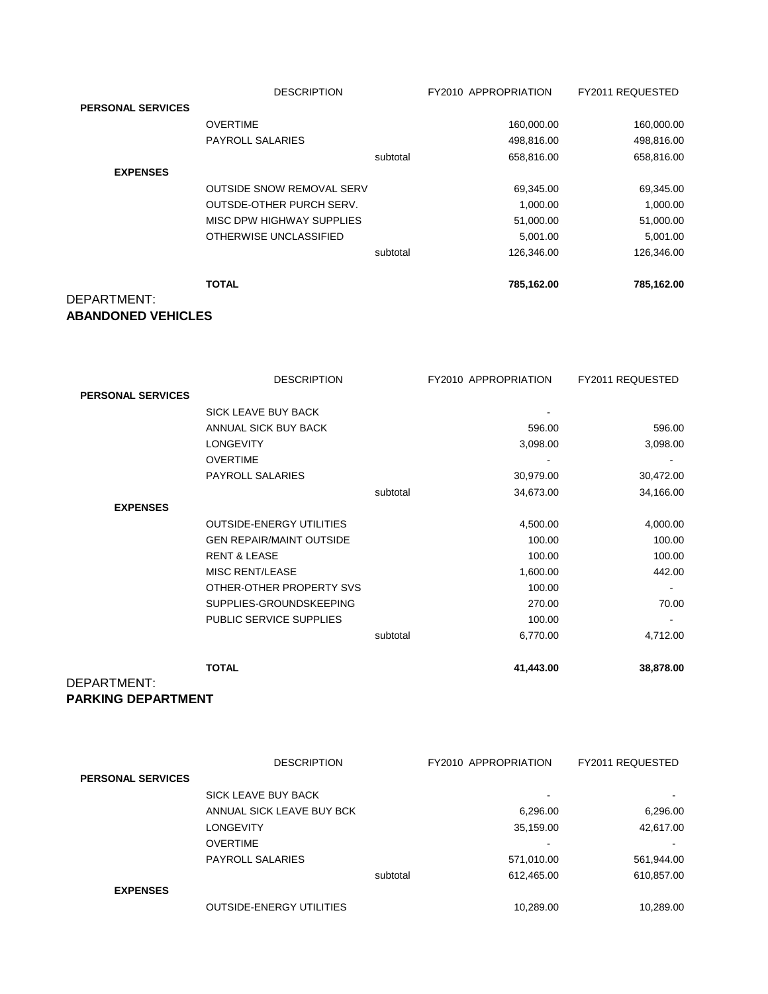|                          | <b>DESCRIPTION</b>               |          | FY2010 APPROPRIATION | FY2011 REQUESTED |
|--------------------------|----------------------------------|----------|----------------------|------------------|
| <b>PERSONAL SERVICES</b> |                                  |          |                      |                  |
|                          | <b>OVERTIME</b>                  |          | 160,000.00           | 160,000.00       |
|                          | <b>PAYROLL SALARIES</b>          |          | 498,816.00           | 498,816.00       |
|                          |                                  | subtotal | 658,816.00           | 658,816.00       |
| <b>EXPENSES</b>          |                                  |          |                      |                  |
|                          | <b>OUTSIDE SNOW REMOVAL SERV</b> |          | 69,345.00            | 69,345.00        |
|                          | <b>OUTSDE-OTHER PURCH SERV.</b>  |          | 1,000.00             | 1,000.00         |
|                          | MISC DPW HIGHWAY SUPPLIES        |          | 51,000.00            | 51,000.00        |
|                          | OTHERWISE UNCLASSIFIED           |          | 5,001.00             | 5,001.00         |
|                          |                                  | subtotal | 126,346.00           | 126,346.00       |
|                          | <b>TOTAL</b>                     |          | 785,162.00           | 785,162.00       |
| DEPARTMENT:              |                                  |          |                      |                  |

#### **ABANDONED VEHICLES**

|                          | <b>DESCRIPTION</b>              |          | FY2010 APPROPRIATION | FY2011 REQUESTED |
|--------------------------|---------------------------------|----------|----------------------|------------------|
| <b>PERSONAL SERVICES</b> |                                 |          |                      |                  |
|                          | SICK LEAVE BUY BACK             |          |                      |                  |
|                          | ANNUAL SICK BUY BACK            |          | 596.00               | 596.00           |
|                          | <b>LONGEVITY</b>                |          | 3,098.00             | 3,098.00         |
|                          | <b>OVERTIME</b>                 |          |                      |                  |
|                          | PAYROLL SALARIES                |          | 30,979.00            | 30,472.00        |
|                          |                                 | subtotal | 34,673.00            | 34,166.00        |
| <b>EXPENSES</b>          |                                 |          |                      |                  |
|                          | <b>OUTSIDE-ENERGY UTILITIES</b> |          | 4,500.00             | 4,000.00         |
|                          | <b>GEN REPAIR/MAINT OUTSIDE</b> |          | 100.00               | 100.00           |
|                          | <b>RENT &amp; LEASE</b>         |          | 100.00               | 100.00           |
|                          | <b>MISC RENT/LEASE</b>          |          | 1,600.00             | 442.00           |
|                          | OTHER-OTHER PROPERTY SVS        |          | 100.00               |                  |
|                          | SUPPLIES-GROUNDSKEEPING         |          | 270.00               | 70.00            |
|                          | PUBLIC SERVICE SUPPLIES         |          | 100.00               | ٠                |
|                          |                                 | subtotal | 6,770.00             | 4,712.00         |
|                          | <b>TOTAL</b>                    |          | 41,443.00            | 38,878.00        |
| DEPARTMENT:              |                                 |          |                      |                  |

**PARKING DEPARTMENT**

|                          | <b>DESCRIPTION</b>              |          | <b>FY2010 APPROPRIATION</b> | FY2011 REQUESTED |
|--------------------------|---------------------------------|----------|-----------------------------|------------------|
| <b>PERSONAL SERVICES</b> |                                 |          |                             |                  |
|                          | SICK LEAVE BUY BACK             |          |                             | ۰                |
|                          | ANNUAL SICK LEAVE BUY BCK       |          | 6,296.00                    | 6,296.00         |
|                          | <b>LONGEVITY</b>                |          | 35,159.00                   | 42,617.00        |
|                          | <b>OVERTIME</b>                 |          |                             |                  |
|                          | <b>PAYROLL SALARIES</b>         |          | 571,010.00                  | 561,944.00       |
|                          |                                 | subtotal | 612,465.00                  | 610,857.00       |
| <b>EXPENSES</b>          |                                 |          |                             |                  |
|                          | <b>OUTSIDE-ENERGY UTILITIES</b> |          | 10,289.00                   | 10,289.00        |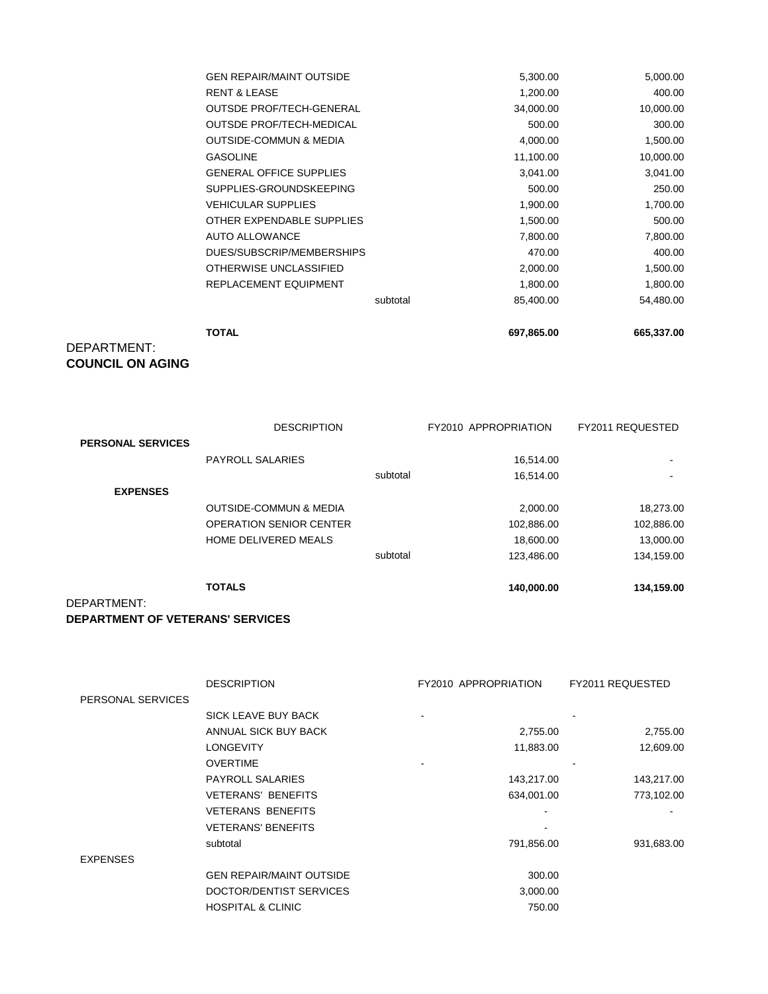| <b>TOTAL</b>                      |          | 697,865.00 | 665,337.00 |
|-----------------------------------|----------|------------|------------|
|                                   | subtotal | 85,400.00  | 54,480.00  |
| REPLACEMENT EQUIPMENT             |          | 1,800.00   | 1,800.00   |
| OTHERWISE UNCLASSIFIED            |          | 2,000.00   | 1,500.00   |
| DUES/SUBSCRIP/MEMBERSHIPS         |          | 470.00     | 400.00     |
| AUTO ALLOWANCE                    |          | 7,800.00   | 7,800.00   |
| OTHER EXPENDABLE SUPPLIES         |          | 1,500.00   | 500.00     |
| <b>VEHICULAR SUPPLIES</b>         |          | 1,900.00   | 1,700.00   |
| SUPPLIES-GROUNDSKEEPING           |          | 500.00     | 250.00     |
| <b>GENERAL OFFICE SUPPLIES</b>    |          | 3,041.00   | 3,041.00   |
| <b>GASOLINE</b>                   |          | 11,100.00  | 10,000.00  |
| <b>OUTSIDE-COMMUN &amp; MEDIA</b> |          | 4,000.00   | 1,500.00   |
| <b>OUTSDE PROF/TECH-MEDICAL</b>   |          | 500.00     | 300.00     |
| <b>OUTSDE PROF/TECH-GENERAL</b>   |          | 34,000.00  | 10,000.00  |
| <b>RENT &amp; LEASE</b>           |          | 1,200.00   | 400.00     |
| <b>GEN REPAIR/MAINT OUTSIDE</b>   |          | 5,300.00   | 5,000.00   |

DEPARTMENT: **COUNCIL ON AGING**

|                          | <b>DESCRIPTION</b>                |          | <b>FY2010 APPROPRIATION</b> | FY2011 REQUESTED |
|--------------------------|-----------------------------------|----------|-----------------------------|------------------|
| <b>PERSONAL SERVICES</b> | <b>PAYROLL SALARIES</b>           |          | 16,514.00                   |                  |
| <b>EXPENSES</b>          |                                   | subtotal | 16,514.00                   |                  |
|                          | <b>OUTSIDE-COMMUN &amp; MEDIA</b> |          | 2.000.00                    | 18,273.00        |
|                          | <b>OPERATION SENIOR CENTER</b>    |          | 102,886.00                  | 102,886.00       |
|                          | HOME DELIVERED MEALS              |          | 18,600.00                   | 13,000.00        |
|                          |                                   | subtotal | 123,486.00                  | 134,159.00       |
|                          | <b>TOTALS</b>                     |          | 140,000.00                  | 134,159.00       |
| DEPARTMENT:              |                                   |          |                             |                  |

#### **DEPARTMENT OF VETERANS' SERVICES**

|                   | <b>DESCRIPTION</b>              | <b>FY2010 APPROPRIATION</b> | FY2011 REQUESTED |
|-------------------|---------------------------------|-----------------------------|------------------|
| PERSONAL SERVICES |                                 |                             |                  |
|                   | SICK LEAVE BUY BACK             |                             |                  |
|                   | ANNUAL SICK BUY BACK            | 2,755.00                    | 2,755.00         |
|                   | <b>LONGEVITY</b>                | 11,883.00                   | 12,609.00        |
|                   | <b>OVERTIME</b>                 |                             |                  |
|                   | <b>PAYROLL SALARIES</b>         | 143,217.00                  | 143,217.00       |
|                   | <b>VETERANS' BENEFITS</b>       | 634,001.00                  | 773,102.00       |
|                   | <b>VETERANS BENEFITS</b>        |                             |                  |
|                   | <b>VETERANS' BENEFITS</b>       |                             |                  |
|                   | subtotal                        | 791,856.00                  | 931,683.00       |
| <b>EXPENSES</b>   |                                 |                             |                  |
|                   | <b>GEN REPAIR/MAINT OUTSIDE</b> | 300.00                      |                  |
|                   | DOCTOR/DENTIST SERVICES         | 3,000.00                    |                  |
|                   | <b>HOSPITAL &amp; CLINIC</b>    | 750.00                      |                  |
|                   |                                 |                             |                  |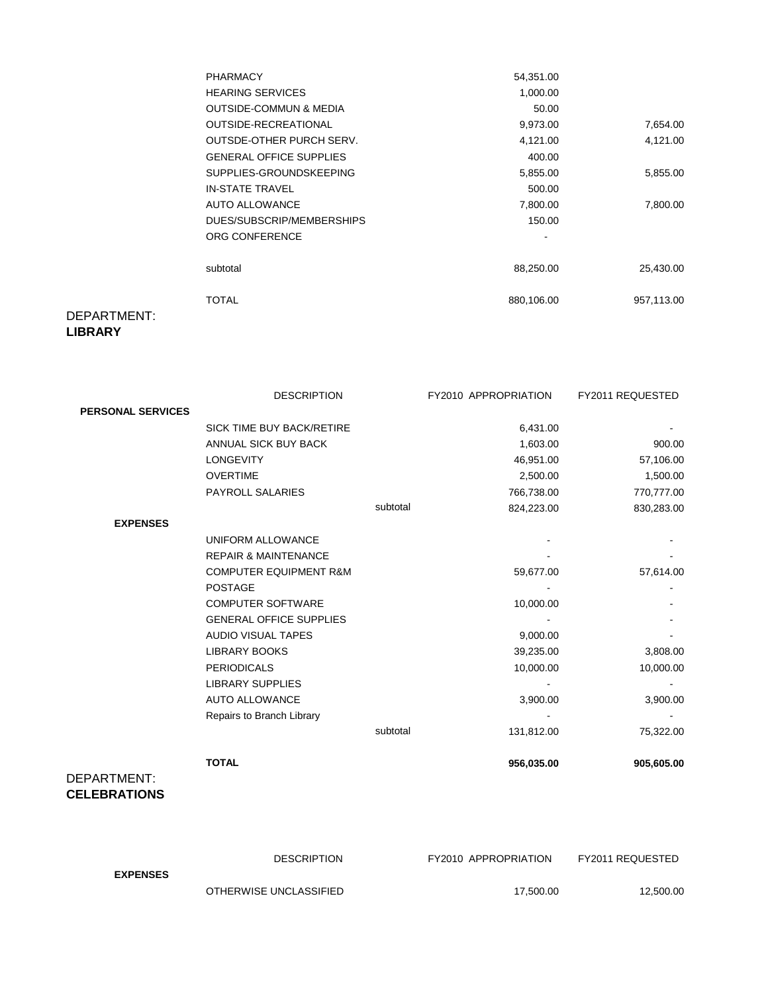| <b>PHARMACY</b>                   | 54,351.00  |            |
|-----------------------------------|------------|------------|
| <b>HEARING SERVICES</b>           | 1,000.00   |            |
| <b>OUTSIDE-COMMUN &amp; MEDIA</b> | 50.00      |            |
| OUTSIDE-RECREATIONAL              | 9,973.00   | 7,654.00   |
| <b>OUTSDE-OTHER PURCH SERV.</b>   | 4,121.00   | 4,121.00   |
| <b>GENERAL OFFICE SUPPLIES</b>    | 400.00     |            |
| SUPPLIES-GROUNDSKEEPING           | 5,855.00   | 5,855.00   |
| <b>IN-STATE TRAVEL</b>            | 500.00     |            |
| <b>AUTO ALLOWANCE</b>             | 7,800.00   | 7,800.00   |
| DUES/SUBSCRIP/MEMBERSHIPS         | 150.00     |            |
| ORG CONFERENCE                    |            |            |
| subtotal                          | 88,250.00  | 25,430.00  |
| TOTAL                             | 880,106.00 | 957,113.00 |
|                                   |            |            |

#### DEPARTMENT: **LIBRARY**

|                          | <b>DESCRIPTION</b>                |          | <b>FY2010 APPROPRIATION</b> | FY2011 REQUESTED |
|--------------------------|-----------------------------------|----------|-----------------------------|------------------|
| <b>PERSONAL SERVICES</b> |                                   |          |                             |                  |
|                          | SICK TIME BUY BACK/RETIRE         |          | 6,431.00                    |                  |
|                          | ANNUAL SICK BUY BACK              |          | 1,603.00                    | 900.00           |
|                          | <b>LONGEVITY</b>                  |          | 46,951.00                   | 57,106.00        |
|                          | <b>OVERTIME</b>                   |          | 2,500.00                    | 1,500.00         |
|                          | PAYROLL SALARIES                  |          | 766,738.00                  | 770,777.00       |
|                          |                                   | subtotal | 824,223.00                  | 830,283.00       |
| <b>EXPENSES</b>          |                                   |          |                             |                  |
|                          | UNIFORM ALLOWANCE                 |          |                             |                  |
|                          | <b>REPAIR &amp; MAINTENANCE</b>   |          |                             |                  |
|                          | <b>COMPUTER EQUIPMENT R&amp;M</b> |          | 59,677.00                   | 57,614.00        |
|                          | <b>POSTAGE</b>                    |          |                             |                  |
|                          | <b>COMPUTER SOFTWARE</b>          |          | 10,000.00                   |                  |
|                          | <b>GENERAL OFFICE SUPPLIES</b>    |          |                             |                  |
|                          | AUDIO VISUAL TAPES                |          | 9,000.00                    |                  |
|                          | <b>LIBRARY BOOKS</b>              |          | 39,235.00                   | 3,808.00         |
|                          | <b>PERIODICALS</b>                |          | 10,000.00                   | 10,000.00        |
|                          | <b>LIBRARY SUPPLIES</b>           |          |                             |                  |
|                          | <b>AUTO ALLOWANCE</b>             |          | 3,900.00                    | 3,900.00         |
|                          | Repairs to Branch Library         |          |                             |                  |
|                          |                                   | subtotal | 131,812.00                  | 75,322.00        |
|                          | <b>TOTAL</b>                      |          | 956,035.00                  | 905,605.00       |
| DEPARTMENT:              |                                   |          |                             |                  |

**CELEBRATIONS**

DESCRIPTION FY2010 APPROPRIATION FY2011 REQUESTED

 **EXPENSES**

OTHERWISE UNCLASSIFIED 17,500.00 12,500.00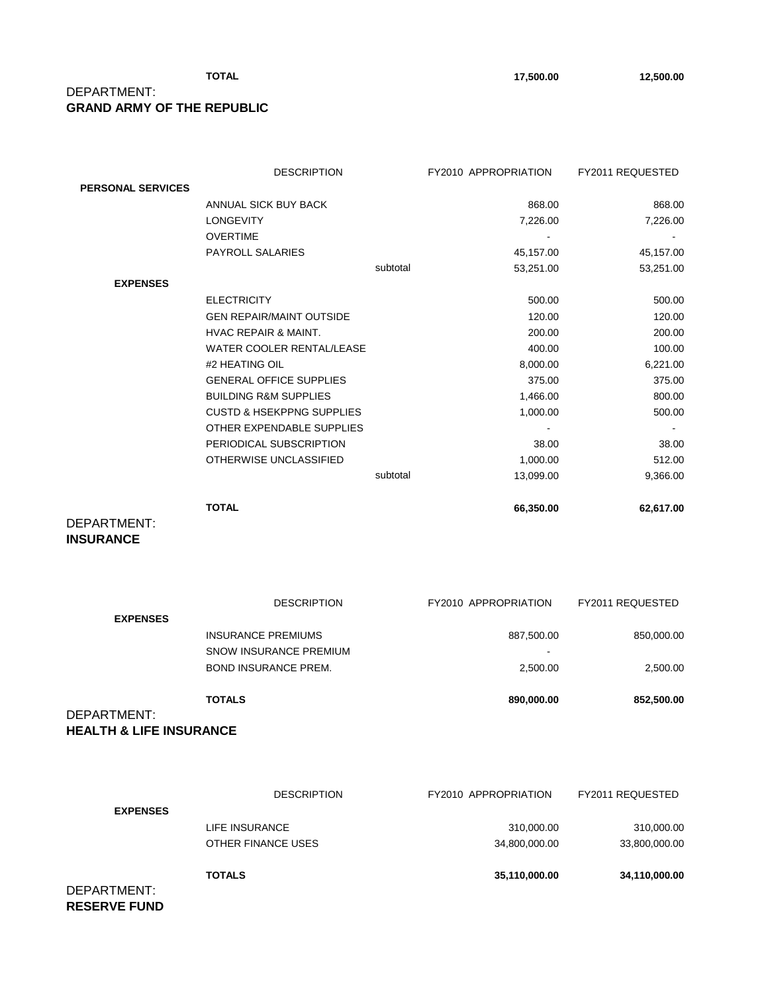**TOTAL** 17,500.00 **12,500.00** 

#### DEPARTMENT: **GRAND ARMY OF THE REPUBLIC**

|                          | <b>DESCRIPTION</b>                   |          | FY2010 APPROPRIATION | <b>FY2011 REQUESTED</b> |
|--------------------------|--------------------------------------|----------|----------------------|-------------------------|
| <b>PERSONAL SERVICES</b> |                                      |          |                      |                         |
|                          | ANNUAL SICK BUY BACK                 |          | 868.00               | 868.00                  |
|                          | <b>LONGEVITY</b>                     |          | 7,226.00             | 7,226.00                |
|                          | <b>OVERTIME</b>                      |          |                      |                         |
|                          | <b>PAYROLL SALARIES</b>              |          | 45,157.00            | 45,157.00               |
|                          |                                      | subtotal | 53,251.00            | 53,251.00               |
| <b>EXPENSES</b>          |                                      |          |                      |                         |
|                          | <b>ELECTRICITY</b>                   |          | 500.00               | 500.00                  |
|                          | <b>GEN REPAIR/MAINT OUTSIDE</b>      |          | 120.00               | 120.00                  |
|                          | <b>HVAC REPAIR &amp; MAINT.</b>      |          | 200.00               | 200.00                  |
|                          | <b>WATER COOLER RENTAL/LEASE</b>     |          | 400.00               | 100.00                  |
|                          | #2 HEATING OIL                       |          | 8,000.00             | 6,221.00                |
|                          | <b>GENERAL OFFICE SUPPLIES</b>       |          | 375.00               | 375.00                  |
|                          | <b>BUILDING R&amp;M SUPPLIES</b>     |          | 1,466.00             | 800.00                  |
|                          | <b>CUSTD &amp; HSEKPPNG SUPPLIES</b> |          | 1,000.00             | 500.00                  |
|                          | OTHER EXPENDABLE SUPPLIES            |          |                      |                         |
|                          | PERIODICAL SUBSCRIPTION              |          | 38.00                | 38.00                   |
|                          | OTHERWISE UNCLASSIFIED               |          | 1,000.00             | 512.00                  |
|                          |                                      | subtotal | 13,099.00            | 9,366.00                |
|                          | <b>TOTAL</b>                         |          | 66,350.00            | 62,617.00               |
| DEPARTMENT:              |                                      |          |                      |                         |

#### **INSURANCE**

| <b>EXPENSES</b>                                   | <b>DESCRIPTION</b>                                  | FY2010 APPROPRIATION                   | FY2011 REQUESTED |
|---------------------------------------------------|-----------------------------------------------------|----------------------------------------|------------------|
|                                                   | <b>INSURANCE PREMIUMS</b><br>SNOW INSURANCE PREMIUM | 887,500.00<br>$\overline{\phantom{0}}$ | 850,000.00       |
|                                                   | <b>BOND INSURANCE PREM.</b>                         | 2,500.00                               | 2,500.00         |
| DEPARTMENT:<br><b>HEALTH &amp; LIFE INSURANCE</b> | <b>TOTALS</b>                                       | 890,000.00                             | 852,500.00       |

|                     | <b>DESCRIPTION</b> | <b>FY2010 APPROPRIATION</b> | FY2011 REQUESTED |
|---------------------|--------------------|-----------------------------|------------------|
| <b>EXPENSES</b>     |                    |                             |                  |
|                     | LIFE INSURANCE     | 310,000.00                  | 310,000.00       |
|                     | OTHER FINANCE USES | 34,800,000.00               | 33,800,000.00    |
|                     | <b>TOTALS</b>      | 35,110,000.00               | 34,110,000.00    |
| DEPARTMENT:         |                    |                             |                  |
| <b>RESERVE FUND</b> |                    |                             |                  |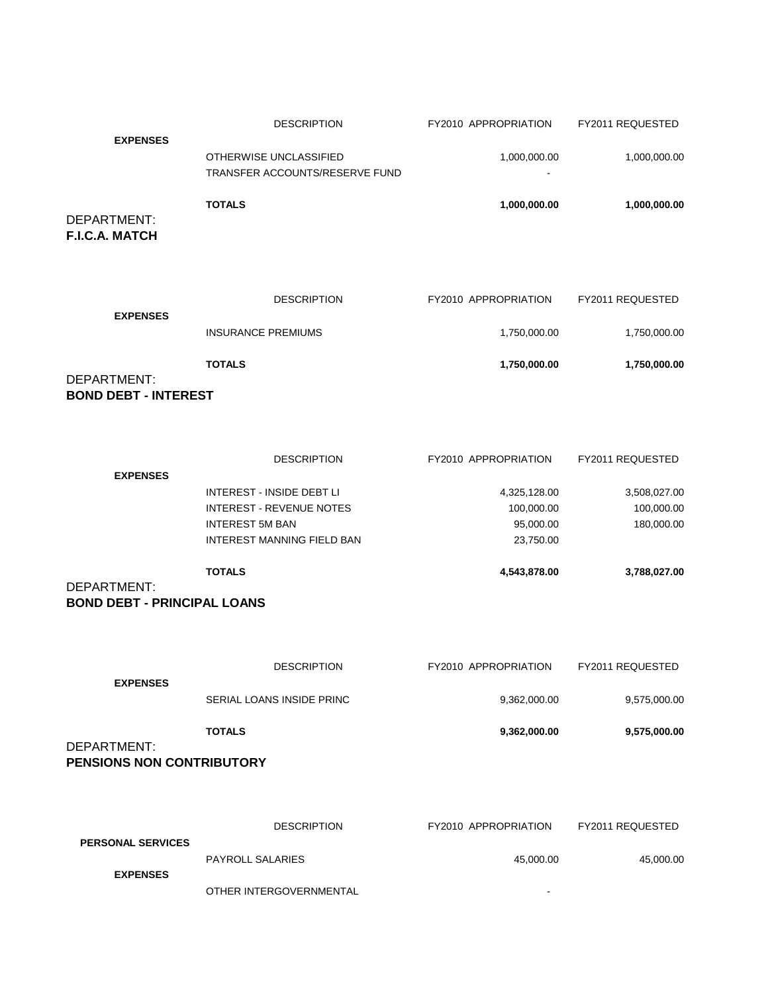|                                            | <b>DESCRIPTION</b>                                       | <b>FY2010 APPROPRIATION</b> | FY2011 REQUESTED |
|--------------------------------------------|----------------------------------------------------------|-----------------------------|------------------|
| <b>EXPENSES</b>                            |                                                          |                             |                  |
|                                            | OTHERWISE UNCLASSIFIED<br>TRANSFER ACCOUNTS/RESERVE FUND | 1,000,000.00                | 1,000,000.00     |
|                                            |                                                          |                             |                  |
| DEPARTMENT:<br>F.I.C.A. MATCH              | <b>TOTALS</b>                                            | 1,000,000.00                | 1,000,000.00     |
| <b>EXPENSES</b>                            | <b>DESCRIPTION</b>                                       | FY2010 APPROPRIATION        | FY2011 REQUESTED |
|                                            | <b>INSURANCE PREMIUMS</b>                                | 1,750,000.00                | 1,750,000.00     |
| DEPARTMENT:<br><b>BOND DEBT - INTEREST</b> | <b>TOTALS</b>                                            | 1,750,000.00                | 1,750,000.00     |
|                                            |                                                          |                             |                  |

|                 | <b>TOTALS</b>              | 4,543,878.00         | 3,788,027.00     |
|-----------------|----------------------------|----------------------|------------------|
|                 | INTEREST MANNING FIELD BAN | 23,750.00            |                  |
|                 | <b>INTEREST 5M BAN</b>     | 95,000.00            | 180,000.00       |
|                 | INTEREST - REVENUE NOTES   | 100,000.00           | 100,000.00       |
|                 | INTEREST - INSIDE DEBT LI  | 4,325,128.00         | 3,508,027.00     |
| <b>EXPENSES</b> |                            |                      |                  |
|                 | <b>DESCRIPTION</b>         | FY2010 APPROPRIATION | FY2011 REQUESTED |

DEPARTMENT: **BOND DEBT - PRINCIPAL LOANS**

 **EXPENSES**

|                                                 | <b>DESCRIPTION</b>        | <b>FY2010 APPROPRIATION</b> | FY2011 REQUESTED |
|-------------------------------------------------|---------------------------|-----------------------------|------------------|
| <b>EXPENSES</b>                                 | SERIAL LOANS INSIDE PRINC | 9,362,000.00                | 9,575,000.00     |
|                                                 | <b>TOTALS</b>             | 9,362,000.00                | 9,575,000.00     |
| DEPARTMENT:<br><b>PENSIONS NON CONTRIBUTORY</b> |                           |                             |                  |
|                                                 |                           |                             |                  |
| <b>PERSONAL SERVICES</b>                        | <b>DESCRIPTION</b>        | FY2010 APPROPRIATION        | FY2011 REQUESTED |
|                                                 | <b>PAYROLL SALARIES</b>   | 45,000.00                   | 45,000.00        |

OTHER INTERGOVERNMENTAL **ACCOMPTENT OF A SET AND A RESERVE**